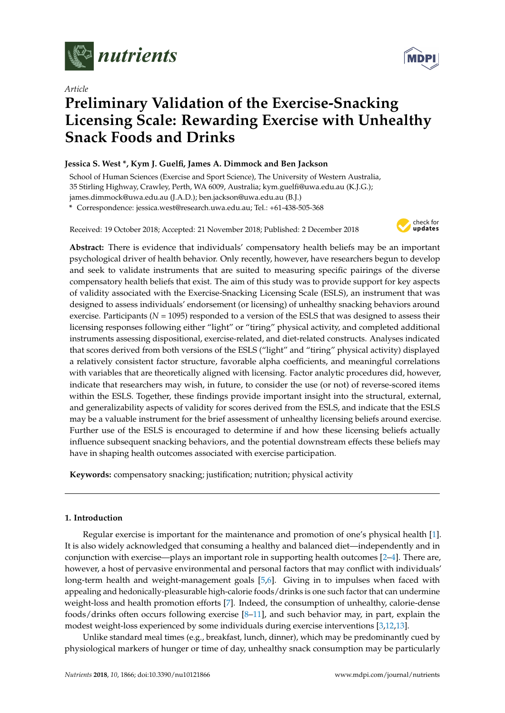

*Article*

# **Preliminary Validation of the Exercise-Snacking Licensing Scale: Rewarding Exercise with Unhealthy Snack Foods and Drinks**

# **Jessica S. West \*, Kym J. Guelfi, James A. Dimmock and Ben Jackson**

School of Human Sciences (Exercise and Sport Science), The University of Western Australia, 35 Stirling Highway, Crawley, Perth, WA 6009, Australia; kym.guelfi@uwa.edu.au (K.J.G.); james.dimmock@uwa.edu.au (J.A.D.); ben.jackson@uwa.edu.au (B.J.) **\*** Correspondence: jessica.west@research.uwa.edu.au; Tel.: +61-438-505-368

Received: 19 October 2018; Accepted: 21 November 2018; Published: 2 December 2018



**Abstract:** There is evidence that individuals' compensatory health beliefs may be an important psychological driver of health behavior. Only recently, however, have researchers begun to develop and seek to validate instruments that are suited to measuring specific pairings of the diverse compensatory health beliefs that exist. The aim of this study was to provide support for key aspects of validity associated with the Exercise-Snacking Licensing Scale (ESLS), an instrument that was designed to assess individuals' endorsement (or licensing) of unhealthy snacking behaviors around exercise. Participants (*N* = 1095) responded to a version of the ESLS that was designed to assess their licensing responses following either "light" or "tiring" physical activity, and completed additional instruments assessing dispositional, exercise-related, and diet-related constructs. Analyses indicated that scores derived from both versions of the ESLS ("light" and "tiring" physical activity) displayed a relatively consistent factor structure, favorable alpha coefficients, and meaningful correlations with variables that are theoretically aligned with licensing. Factor analytic procedures did, however, indicate that researchers may wish, in future, to consider the use (or not) of reverse-scored items within the ESLS. Together, these findings provide important insight into the structural, external, and generalizability aspects of validity for scores derived from the ESLS, and indicate that the ESLS may be a valuable instrument for the brief assessment of unhealthy licensing beliefs around exercise. Further use of the ESLS is encouraged to determine if and how these licensing beliefs actually influence subsequent snacking behaviors, and the potential downstream effects these beliefs may have in shaping health outcomes associated with exercise participation.

**Keywords:** compensatory snacking; justification; nutrition; physical activity

# **1. Introduction**

Regular exercise is important for the maintenance and promotion of one's physical health [\[1\]](#page-16-0). It is also widely acknowledged that consuming a healthy and balanced diet—independently and in conjunction with exercise—plays an important role in supporting health outcomes [\[2](#page-16-1)[–4\]](#page-16-2). There are, however, a host of pervasive environmental and personal factors that may conflict with individuals' long-term health and weight-management goals [\[5,](#page-16-3)[6\]](#page-16-4). Giving in to impulses when faced with appealing and hedonically-pleasurable high-calorie foods/drinks is one such factor that can undermine weight-loss and health promotion efforts [\[7\]](#page-16-5). Indeed, the consumption of unhealthy, calorie-dense foods/drinks often occurs following exercise [\[8](#page-16-6)[–11\]](#page-16-7), and such behavior may, in part, explain the modest weight-loss experienced by some individuals during exercise interventions [\[3,](#page-16-8)[12](#page-16-9)[,13\]](#page-16-10).

Unlike standard meal times (e.g., breakfast, lunch, dinner), which may be predominantly cued by physiological markers of hunger or time of day, unhealthy snack consumption may be particularly

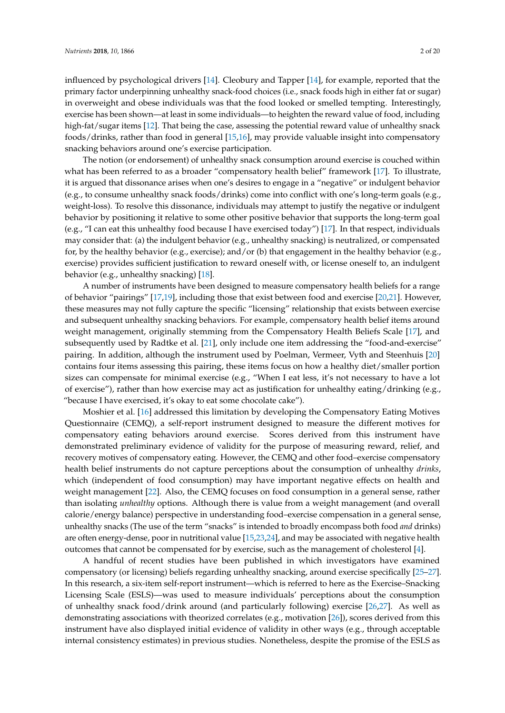influenced by psychological drivers [\[14\]](#page-16-11). Cleobury and Tapper [\[14\]](#page-16-11), for example, reported that the primary factor underpinning unhealthy snack-food choices (i.e., snack foods high in either fat or sugar) in overweight and obese individuals was that the food looked or smelled tempting. Interestingly, exercise has been shown—at least in some individuals—to heighten the reward value of food, including high-fat/sugar items [\[12\]](#page-16-9). That being the case, assessing the potential reward value of unhealthy snack foods/drinks, rather than food in general [\[15](#page-16-12)[,16\]](#page-16-13), may provide valuable insight into compensatory snacking behaviors around one's exercise participation.

The notion (or endorsement) of unhealthy snack consumption around exercise is couched within what has been referred to as a broader "compensatory health belief" framework [\[17\]](#page-16-14). To illustrate, it is argued that dissonance arises when one's desires to engage in a "negative" or indulgent behavior (e.g., to consume unhealthy snack foods/drinks) come into conflict with one's long-term goals (e.g., weight-loss). To resolve this dissonance, individuals may attempt to justify the negative or indulgent behavior by positioning it relative to some other positive behavior that supports the long-term goal (e.g., "I can eat this unhealthy food because I have exercised today") [\[17\]](#page-16-14). In that respect, individuals may consider that: (a) the indulgent behavior (e.g., unhealthy snacking) is neutralized, or compensated for, by the healthy behavior (e.g., exercise); and/or (b) that engagement in the healthy behavior (e.g., exercise) provides sufficient justification to reward oneself with, or license oneself to, an indulgent behavior (e.g., unhealthy snacking) [\[18\]](#page-16-15).

A number of instruments have been designed to measure compensatory health beliefs for a range of behavior "pairings" [\[17,](#page-16-14)[19\]](#page-16-16), including those that exist between food and exercise [\[20](#page-17-0)[,21\]](#page-17-1). However, these measures may not fully capture the specific "licensing" relationship that exists between exercise and subsequent unhealthy snacking behaviors. For example, compensatory health belief items around weight management, originally stemming from the Compensatory Health Beliefs Scale [\[17\]](#page-16-14), and subsequently used by Radtke et al. [\[21\]](#page-17-1), only include one item addressing the "food-and-exercise" pairing. In addition, although the instrument used by Poelman, Vermeer, Vyth and Steenhuis [\[20\]](#page-17-0) contains four items assessing this pairing, these items focus on how a healthy diet/smaller portion sizes can compensate for minimal exercise (e.g., "When I eat less, it's not necessary to have a lot of exercise"), rather than how exercise may act as justification for unhealthy eating/drinking (e.g., "because I have exercised, it's okay to eat some chocolate cake").

Moshier et al. [\[16\]](#page-16-13) addressed this limitation by developing the Compensatory Eating Motives Questionnaire (CEMQ), a self-report instrument designed to measure the different motives for compensatory eating behaviors around exercise. Scores derived from this instrument have demonstrated preliminary evidence of validity for the purpose of measuring reward, relief, and recovery motives of compensatory eating. However, the CEMQ and other food–exercise compensatory health belief instruments do not capture perceptions about the consumption of unhealthy *drinks*, which (independent of food consumption) may have important negative effects on health and weight management [\[22\]](#page-17-2). Also, the CEMQ focuses on food consumption in a general sense, rather than isolating *unhealthy* options. Although there is value from a weight management (and overall calorie/energy balance) perspective in understanding food–exercise compensation in a general sense, unhealthy snacks (The use of the term "snacks" is intended to broadly encompass both food *and* drinks) are often energy-dense, poor in nutritional value [\[15,](#page-16-12)[23](#page-17-3)[,24\]](#page-17-4), and may be associated with negative health outcomes that cannot be compensated for by exercise, such as the management of cholesterol [\[4\]](#page-16-2).

A handful of recent studies have been published in which investigators have examined compensatory (or licensing) beliefs regarding unhealthy snacking, around exercise specifically [\[25–](#page-17-5)[27\]](#page-17-6). In this research, a six-item self-report instrument—which is referred to here as the Exercise–Snacking Licensing Scale (ESLS)—was used to measure individuals' perceptions about the consumption of unhealthy snack food/drink around (and particularly following) exercise [\[26,](#page-17-7)[27\]](#page-17-6). As well as demonstrating associations with theorized correlates (e.g., motivation [\[26\]](#page-17-7)), scores derived from this instrument have also displayed initial evidence of validity in other ways (e.g., through acceptable internal consistency estimates) in previous studies. Nonetheless, despite the promise of the ESLS as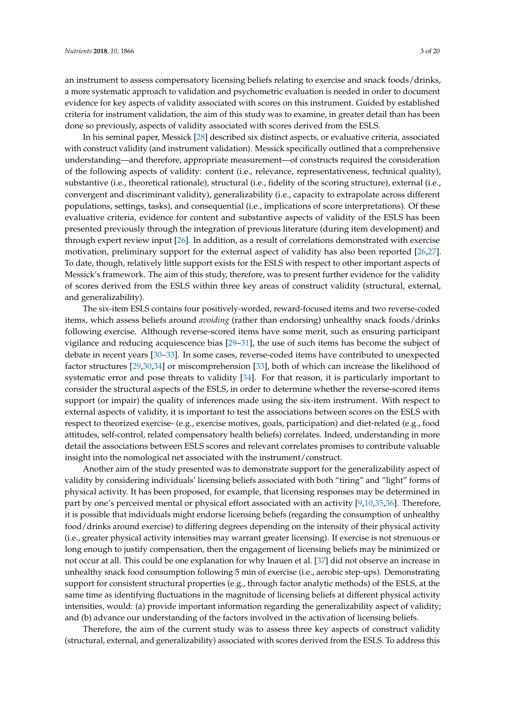an instrument to assess compensatory licensing beliefs relating to exercise and snack foods/drinks, a more systematic approach to validation and psychometric evaluation is needed in order to document evidence for key aspects of validity associated with scores on this instrument. Guided by established criteria for instrument validation, the aim of this study was to examine, in greater detail than has been done so previously, aspects of validity associated with scores derived from the ESLS.

In his seminal paper, Messick [\[28\]](#page-17-8) described six distinct aspects, or evaluative criteria, associated with construct validity (and instrument validation). Messick specifically outlined that a comprehensive understanding—and therefore, appropriate measurement—of constructs required the consideration of the following aspects of validity: content (i.e., relevance, representativeness, technical quality), substantive (i.e., theoretical rationale), structural (i.e., fidelity of the scoring structure), external (i.e., convergent and discriminant validity), generalizability (i.e., capacity to extrapolate across different populations, settings, tasks), and consequential (i.e., implications of score interpretations). Of these evaluative criteria, evidence for content and substantive aspects of validity of the ESLS has been presented previously through the integration of previous literature (during item development) and through expert review input [\[26\]](#page-17-7). In addition, as a result of correlations demonstrated with exercise motivation, preliminary support for the external aspect of validity has also been reported [\[26,](#page-17-7)[27\]](#page-17-6). To date, though, relatively little support exists for the ESLS with respect to other important aspects of Messick's framework. The aim of this study, therefore, was to present further evidence for the validity of scores derived from the ESLS within three key areas of construct validity (structural, external, and generalizability).

The six-item ESLS contains four positively-worded, reward-focused items and two reverse-coded items, which assess beliefs around *avoiding* (rather than endorsing) unhealthy snack foods/drinks following exercise. Although reverse-scored items have some merit, such as ensuring participant vigilance and reducing acquiescence bias [\[29](#page-17-9)[–31\]](#page-17-10), the use of such items has become the subject of debate in recent years [\[30–](#page-17-11)[33\]](#page-17-12). In some cases, reverse-coded items have contributed to unexpected factor structures [\[29,](#page-17-9)[30,](#page-17-11)[34\]](#page-17-13) or miscomprehension [\[33\]](#page-17-12), both of which can increase the likelihood of systematic error and pose threats to validity [\[34\]](#page-17-13). For that reason, it is particularly important to consider the structural aspects of the ESLS, in order to determine whether the reverse-scored items support (or impair) the quality of inferences made using the six-item instrument. With respect to external aspects of validity, it is important to test the associations between scores on the ESLS with respect to theorized exercise- (e.g., exercise motives, goals, participation) and diet-related (e.g., food attitudes, self-control, related compensatory health beliefs) correlates. Indeed, understanding in more detail the associations between ESLS scores and relevant correlates promises to contribute valuable insight into the nomological net associated with the instrument/construct.

Another aim of the study presented was to demonstrate support for the generalizability aspect of validity by considering individuals' licensing beliefs associated with both "tiring" and "light" forms of physical activity. It has been proposed, for example, that licensing responses may be determined in part by one's perceived mental or physical effort associated with an activity [\[9,](#page-16-17)[10,](#page-16-18)[35,](#page-17-14)[36\]](#page-17-15). Therefore, it is possible that individuals might endorse licensing beliefs (regarding the consumption of unhealthy food/drinks around exercise) to differing degrees depending on the intensity of their physical activity (i.e., greater physical activity intensities may warrant greater licensing). If exercise is not strenuous or long enough to justify compensation, then the engagement of licensing beliefs may be minimized or not occur at all. This could be one explanation for why Inauen et al. [\[37\]](#page-17-16) did not observe an increase in unhealthy snack food consumption following 5 min of exercise (i.e., aerobic step-ups). Demonstrating support for consistent structural properties (e.g., through factor analytic methods) of the ESLS, at the same time as identifying fluctuations in the magnitude of licensing beliefs at different physical activity intensities, would: (a) provide important information regarding the generalizability aspect of validity; and (b) advance our understanding of the factors involved in the activation of licensing beliefs.

Therefore, the aim of the current study was to assess three key aspects of construct validity (structural, external, and generalizability) associated with scores derived from the ESLS. To address this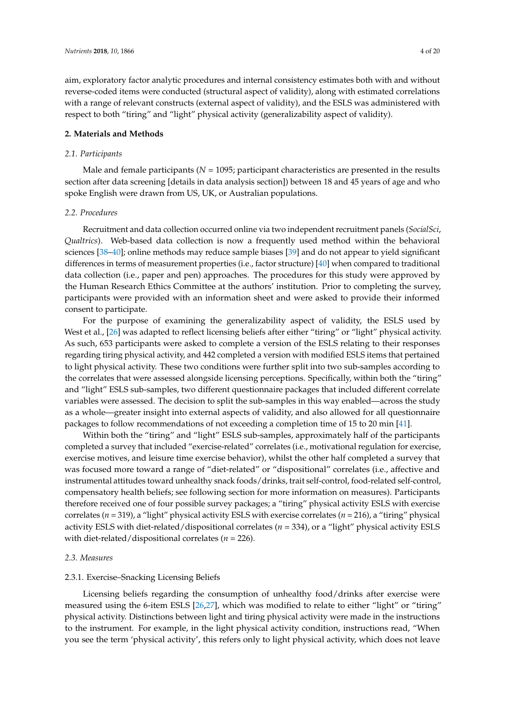aim, exploratory factor analytic procedures and internal consistency estimates both with and without reverse-coded items were conducted (structural aspect of validity), along with estimated correlations with a range of relevant constructs (external aspect of validity), and the ESLS was administered with respect to both "tiring" and "light" physical activity (generalizability aspect of validity).

## **2. Materials and Methods**

## *2.1. Participants*

Male and female participants  $(N = 1095)$ ; participant characteristics are presented in the results section after data screening [details in data analysis section]) between 18 and 45 years of age and who spoke English were drawn from US, UK, or Australian populations.

## *2.2. Procedures*

Recruitment and data collection occurred online via two independent recruitment panels (*SocialSci*, *Qualtrics*). Web-based data collection is now a frequently used method within the behavioral sciences [\[38](#page-17-17)[–40\]](#page-17-18); online methods may reduce sample biases [\[39\]](#page-17-19) and do not appear to yield significant differences in terms of measurement properties (i.e., factor structure) [\[40\]](#page-17-18) when compared to traditional data collection (i.e., paper and pen) approaches. The procedures for this study were approved by the Human Research Ethics Committee at the authors' institution. Prior to completing the survey, participants were provided with an information sheet and were asked to provide their informed consent to participate.

For the purpose of examining the generalizability aspect of validity, the ESLS used by West et al., [\[26\]](#page-17-7) was adapted to reflect licensing beliefs after either "tiring" or "light" physical activity. As such, 653 participants were asked to complete a version of the ESLS relating to their responses regarding tiring physical activity, and 442 completed a version with modified ESLS items that pertained to light physical activity. These two conditions were further split into two sub-samples according to the correlates that were assessed alongside licensing perceptions. Specifically, within both the "tiring" and "light" ESLS sub-samples, two different questionnaire packages that included different correlate variables were assessed. The decision to split the sub-samples in this way enabled—across the study as a whole—greater insight into external aspects of validity, and also allowed for all questionnaire packages to follow recommendations of not exceeding a completion time of 15 to 20 min [\[41\]](#page-17-20).

Within both the "tiring" and "light" ESLS sub-samples, approximately half of the participants completed a survey that included "exercise-related" correlates (i.e., motivational regulation for exercise, exercise motives, and leisure time exercise behavior), whilst the other half completed a survey that was focused more toward a range of "diet-related" or "dispositional" correlates (i.e., affective and instrumental attitudes toward unhealthy snack foods/drinks, trait self-control, food-related self-control, compensatory health beliefs; see following section for more information on measures). Participants therefore received one of four possible survey packages; a "tiring" physical activity ESLS with exercise correlates (*n* = 319), a "light" physical activity ESLS with exercise correlates (*n* = 216), a "tiring" physical activity ESLS with diet-related/dispositional correlates (*n* = 334), or a "light" physical activity ESLS with diet-related/dispositional correlates (*n* = 226).

## *2.3. Measures*

## 2.3.1. Exercise–Snacking Licensing Beliefs

Licensing beliefs regarding the consumption of unhealthy food/drinks after exercise were measured using the 6-item ESLS [\[26](#page-17-7)[,27\]](#page-17-6), which was modified to relate to either "light" or "tiring" physical activity. Distinctions between light and tiring physical activity were made in the instructions to the instrument. For example, in the light physical activity condition, instructions read, "When you see the term 'physical activity', this refers only to light physical activity, which does not leave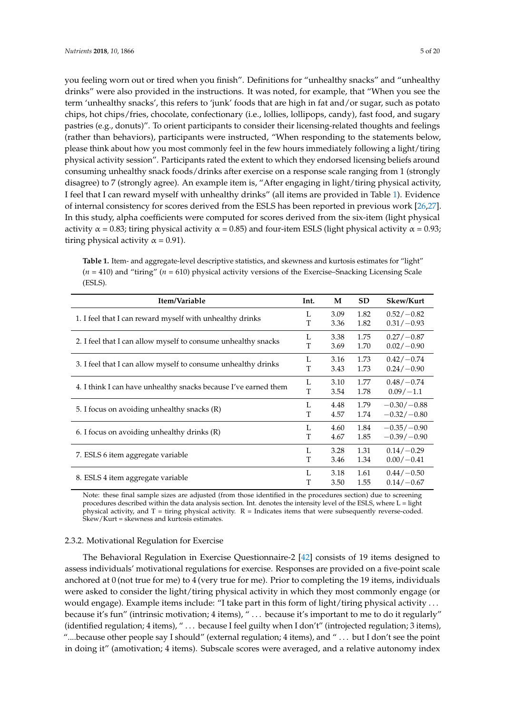drinks" were also provided in the instructions. It was noted, for example, that "When you see the term 'unhealthy snacks', this refers to 'junk' foods that are high in fat and/or sugar, such as potato chips, hot chips/fries, chocolate, confectionary (i.e., lollies, lollipops, candy), fast food, and sugary pastries (e.g., donuts)". To orient participants to consider their licensing-related thoughts and feelings (rather than behaviors), participants were instructed, "When responding to the statements below, please think about how you most commonly feel in the few hours immediately following a light/tiring physical activity session". Participants rated the extent to which they endorsed licensing beliefs around consuming unhealthy snack foods/drinks after exercise on a response scale ranging from 1 (strongly disagree) to 7 (strongly agree). An example item is, "After engaging in light/tiring physical activity, I feel that I can reward myself with unhealthy drinks" (all items are provided in Table [1\)](#page-4-0). Evidence of internal consistency for scores derived from the ESLS has been reported in previous work [\[26,](#page-17-7)[27\]](#page-17-6). In this study, alpha coefficients were computed for scores derived from the six-item (light physical activity  $\alpha = 0.83$ ; tiring physical activity  $\alpha = 0.85$ ) and four-item ESLS (light physical activity  $\alpha = 0.93$ ; tiring physical activity  $\alpha$  = 0.91).

<span id="page-4-0"></span>**Table 1.** Item- and aggregate-level descriptive statistics, and skewness and kurtosis estimates for "light" (*n* = 410) and "tiring" (*n* = 610) physical activity versions of the Exercise–Snacking Licensing Scale (ESLS).

| Item/Variable                                                   | Int. | M    | <b>SD</b> | Skew/Kurt     |
|-----------------------------------------------------------------|------|------|-----------|---------------|
| 1. I feel that I can reward myself with unhealthy drinks        | L    | 3.09 | 1.82      | $0.52/-0.82$  |
|                                                                 | T    | 3.36 | 1.82      | $0.31/-0.93$  |
| 2. I feel that I can allow myself to consume unhealthy snacks   | L    | 3.38 | 1.75      | $0.27/ -0.87$ |
|                                                                 | T    | 3.69 | 1.70      | $0.02/-0.90$  |
| 3. I feel that I can allow myself to consume unhealthy drinks   | L    | 3.16 | 1.73      | $0.42/-0.74$  |
|                                                                 | T    | 3.43 | 1.73      | $0.24/-0.90$  |
| 4. I think I can have unhealthy snacks because I've earned them | L    | 3.10 | 1.77      | $0.48/-0.74$  |
|                                                                 | T    | 3.54 | 1.78      | $0.09/-1.1$   |
| 5. I focus on avoiding unhealthy snacks (R)                     | L    | 4.48 | 1.79      | $-0.30/-0.88$ |
|                                                                 | T    | 4.57 | 1.74      | $-0.32/-0.80$ |
| 6. I focus on avoiding unhealthy drinks $(R)$                   | L    | 4.60 | 1.84      | $-0.35/-0.90$ |
|                                                                 | T    | 4.67 | 1.85      | $-0.39/-0.90$ |
| 7. ESLS 6 item aggregate variable                               | L    | 3.28 | 1.31      | $0.14/-0.29$  |
|                                                                 | T    | 3.46 | 1.34      | $0.00/-0.41$  |
| 8. ESLS 4 item aggregate variable                               | L    | 3.18 | 1.61      | $0.44/-0.50$  |
|                                                                 | T    | 3.50 | 1.55      | $0.14/-0.67$  |

Note: these final sample sizes are adjusted (from those identified in the procedures section) due to screening procedures described within the data analysis section. Int. denotes the intensity level of the ESLS, where L = light physical activity, and T = tiring physical activity. R = Indicates items that were subsequently reverse-coded. Skew/Kurt = skewness and kurtosis estimates.

## 2.3.2. Motivational Regulation for Exercise

The Behavioral Regulation in Exercise Questionnaire-2 [\[42\]](#page-17-21) consists of 19 items designed to assess individuals' motivational regulations for exercise. Responses are provided on a five-point scale anchored at 0 (not true for me) to 4 (very true for me). Prior to completing the 19 items, individuals were asked to consider the light/tiring physical activity in which they most commonly engage (or would engage). Example items include: "I take part in this form of light/tiring physical activity . . . because it's fun" (intrinsic motivation; 4 items), " . . . because it's important to me to do it regularly" (identified regulation; 4 items), " . . . because I feel guilty when I don't" (introjected regulation; 3 items), "....because other people say I should" (external regulation; 4 items), and "... but I don't see the point in doing it" (amotivation; 4 items). Subscale scores were averaged, and a relative autonomy index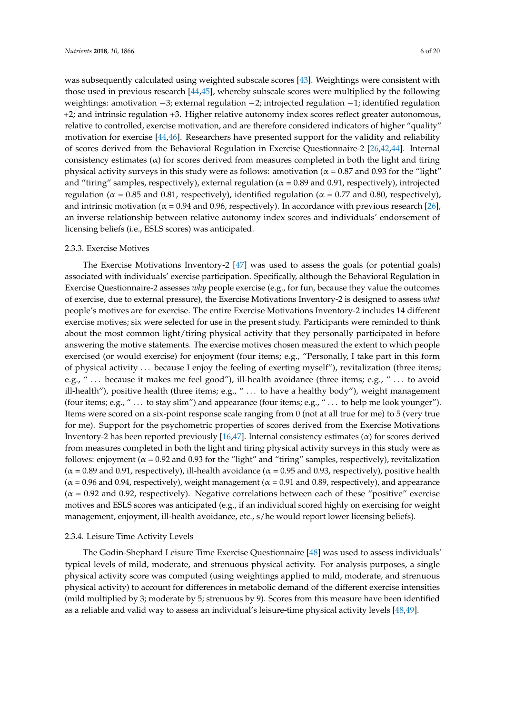was subsequently calculated using weighted subscale scores [\[43\]](#page-17-22). Weightings were consistent with those used in previous research [\[44,](#page-17-23)[45\]](#page-17-24), whereby subscale scores were multiplied by the following weightings: amotivation −3; external regulation −2; introjected regulation −1; identified regulation +2; and intrinsic regulation +3. Higher relative autonomy index scores reflect greater autonomous, relative to controlled, exercise motivation, and are therefore considered indicators of higher "quality" motivation for exercise [\[44](#page-17-23)[,46\]](#page-18-0). Researchers have presented support for the validity and reliability of scores derived from the Behavioral Regulation in Exercise Questionnaire-2 [\[26](#page-17-7)[,42,](#page-17-21)[44\]](#page-17-23). Internal consistency estimates  $(\alpha)$  for scores derived from measures completed in both the light and tiring physical activity surveys in this study were as follows: amotivation ( $\alpha$  = 0.87 and 0.93 for the "light" and "tiring" samples, respectively), external regulation ( $\alpha = 0.89$  and 0.91, respectively), introjected regulation ( $\alpha$  = 0.85 and 0.81, respectively), identified regulation ( $\alpha$  = 0.77 and 0.80, respectively), and intrinsic motivation ( $\alpha$  = 0.94 and 0.96, respectively). In accordance with previous research [\[26\]](#page-17-7), an inverse relationship between relative autonomy index scores and individuals' endorsement of licensing beliefs (i.e., ESLS scores) was anticipated.

#### 2.3.3. Exercise Motives

The Exercise Motivations Inventory-2 [\[47\]](#page-18-1) was used to assess the goals (or potential goals) associated with individuals' exercise participation. Specifically, although the Behavioral Regulation in Exercise Questionnaire-2 assesses *why* people exercise (e.g., for fun, because they value the outcomes of exercise, due to external pressure), the Exercise Motivations Inventory-2 is designed to assess *what* people's motives are for exercise. The entire Exercise Motivations Inventory-2 includes 14 different exercise motives; six were selected for use in the present study. Participants were reminded to think about the most common light/tiring physical activity that they personally participated in before answering the motive statements. The exercise motives chosen measured the extent to which people exercised (or would exercise) for enjoyment (four items; e.g., "Personally, I take part in this form of physical activity . . . because I enjoy the feeling of exerting myself"), revitalization (three items; e.g., " . . . because it makes me feel good"), ill-health avoidance (three items; e.g., " . . . to avoid ill-health"), positive health (three items; e.g., " ... to have a healthy body"), weight management (four items; e.g., "... to stay slim") and appearance (four items; e.g., "... to help me look younger"). Items were scored on a six-point response scale ranging from 0 (not at all true for me) to 5 (very true for me). Support for the psychometric properties of scores derived from the Exercise Motivations Inventory-2 has been reported previously [\[16,](#page-16-13)[47\]](#page-18-1). Internal consistency estimates (α) for scores derived from measures completed in both the light and tiring physical activity surveys in this study were as follows: enjoyment ( $\alpha$  = 0.92 and 0.93 for the "light" and "tiring" samples, respectively), revitalization  $(\alpha = 0.89$  and 0.91, respectively), ill-health avoidance  $(\alpha = 0.95$  and 0.93, respectively), positive health  $(\alpha = 0.96$  and 0.94, respectively), weight management  $(\alpha = 0.91$  and 0.89, respectively), and appearance  $(\alpha = 0.92$  and 0.92, respectively). Negative correlations between each of these "positive" exercise motives and ESLS scores was anticipated (e.g., if an individual scored highly on exercising for weight management, enjoyment, ill-health avoidance, etc., s/he would report lower licensing beliefs).

#### 2.3.4. Leisure Time Activity Levels

The Godin-Shephard Leisure Time Exercise Questionnaire [\[48\]](#page-18-2) was used to assess individuals' typical levels of mild, moderate, and strenuous physical activity. For analysis purposes, a single physical activity score was computed (using weightings applied to mild, moderate, and strenuous physical activity) to account for differences in metabolic demand of the different exercise intensities (mild multiplied by 3; moderate by 5; strenuous by 9). Scores from this measure have been identified as a reliable and valid way to assess an individual's leisure-time physical activity levels [\[48,](#page-18-2)[49\]](#page-18-3).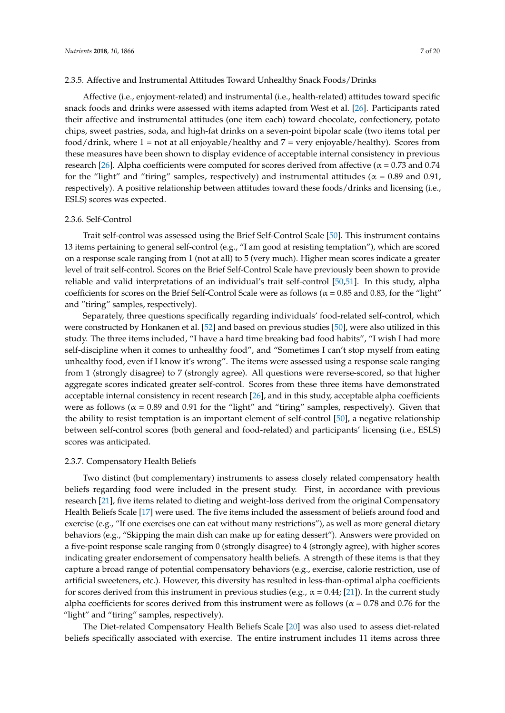## 2.3.5. Affective and Instrumental Attitudes Toward Unhealthy Snack Foods/Drinks

Affective (i.e., enjoyment-related) and instrumental (i.e., health-related) attitudes toward specific snack foods and drinks were assessed with items adapted from West et al. [\[26\]](#page-17-7). Participants rated their affective and instrumental attitudes (one item each) toward chocolate, confectionery, potato chips, sweet pastries, soda, and high-fat drinks on a seven-point bipolar scale (two items total per food/drink, where 1 = not at all enjoyable/healthy and 7 = very enjoyable/healthy). Scores from these measures have been shown to display evidence of acceptable internal consistency in previous research [\[26\]](#page-17-7). Alpha coefficients were computed for scores derived from affective ( $\alpha$  = 0.73 and 0.74 for the "light" and "tiring" samples, respectively) and instrumental attitudes ( $\alpha$  = 0.89 and 0.91, respectively). A positive relationship between attitudes toward these foods/drinks and licensing (i.e., ESLS) scores was expected.

## 2.3.6. Self-Control

Trait self-control was assessed using the Brief Self-Control Scale [\[50\]](#page-18-4). This instrument contains 13 items pertaining to general self-control (e.g., "I am good at resisting temptation"), which are scored on a response scale ranging from 1 (not at all) to 5 (very much). Higher mean scores indicate a greater level of trait self-control. Scores on the Brief Self-Control Scale have previously been shown to provide reliable and valid interpretations of an individual's trait self-control [\[50,](#page-18-4)[51\]](#page-18-5). In this study, alpha coefficients for scores on the Brief Self-Control Scale were as follows ( $\alpha$  = 0.85 and 0.83, for the "light" and "tiring" samples, respectively).

Separately, three questions specifically regarding individuals' food-related self-control, which were constructed by Honkanen et al. [\[52\]](#page-18-6) and based on previous studies [\[50\]](#page-18-4), were also utilized in this study. The three items included, "I have a hard time breaking bad food habits", "I wish I had more self-discipline when it comes to unhealthy food", and "Sometimes I can't stop myself from eating unhealthy food, even if I know it's wrong". The items were assessed using a response scale ranging from 1 (strongly disagree) to 7 (strongly agree). All questions were reverse-scored, so that higher aggregate scores indicated greater self-control. Scores from these three items have demonstrated acceptable internal consistency in recent research [\[26\]](#page-17-7), and in this study, acceptable alpha coefficients were as follows ( $\alpha$  = 0.89 and 0.91 for the "light" and "tiring" samples, respectively). Given that the ability to resist temptation is an important element of self-control [\[50\]](#page-18-4), a negative relationship between self-control scores (both general and food-related) and participants' licensing (i.e., ESLS) scores was anticipated.

#### 2.3.7. Compensatory Health Beliefs

Two distinct (but complementary) instruments to assess closely related compensatory health beliefs regarding food were included in the present study. First, in accordance with previous research [\[21\]](#page-17-1), five items related to dieting and weight-loss derived from the original Compensatory Health Beliefs Scale [\[17\]](#page-16-14) were used. The five items included the assessment of beliefs around food and exercise (e.g., "If one exercises one can eat without many restrictions"), as well as more general dietary behaviors (e.g., "Skipping the main dish can make up for eating dessert"). Answers were provided on a five-point response scale ranging from 0 (strongly disagree) to 4 (strongly agree), with higher scores indicating greater endorsement of compensatory health beliefs. A strength of these items is that they capture a broad range of potential compensatory behaviors (e.g., exercise, calorie restriction, use of artificial sweeteners, etc.). However, this diversity has resulted in less-than-optimal alpha coefficients for scores derived from this instrument in previous studies (e.g.,  $\alpha = 0.44$ ; [\[21\]](#page-17-1)). In the current study alpha coefficients for scores derived from this instrument were as follows ( $\alpha$  = 0.78 and 0.76 for the "light" and "tiring" samples, respectively).

The Diet-related Compensatory Health Beliefs Scale [\[20\]](#page-17-0) was also used to assess diet-related beliefs specifically associated with exercise. The entire instrument includes 11 items across three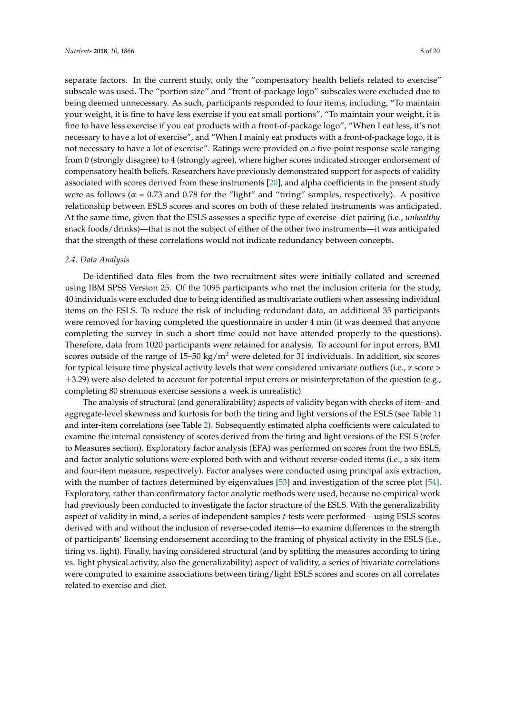separate factors. In the current study, only the "compensatory health beliefs related to exercise" subscale was used. The "portion size" and "front-of-package logo" subscales were excluded due to being deemed unnecessary. As such, participants responded to four items, including, "To maintain your weight, it is fine to have less exercise if you eat small portions", "To maintain your weight, it is fine to have less exercise if you eat products with a front-of-package logo", "When I eat less, it's not necessary to have a lot of exercise", and "When I mainly eat products with a front-of-package logo, it is not necessary to have a lot of exercise". Ratings were provided on a five-point response scale ranging from 0 (strongly disagree) to 4 (strongly agree), where higher scores indicated stronger endorsement of compensatory health beliefs. Researchers have previously demonstrated support for aspects of validity associated with scores derived from these instruments [\[20\]](#page-17-0), and alpha coefficients in the present study were as follows ( $\alpha$  = 0.73 and 0.78 for the "light" and "tiring" samples, respectively). A positive relationship between ESLS scores and scores on both of these related instruments was anticipated. At the same time, given that the ESLS assesses a specific type of exercise–diet pairing (i.e., *unhealthy* snack foods/drinks)—that is not the subject of either of the other two instruments—it was anticipated that the strength of these correlations would not indicate redundancy between concepts.

#### *2.4. Data Analysis*

De-identified data files from the two recruitment sites were initially collated and screened using IBM SPSS Version 25. Of the 1095 participants who met the inclusion criteria for the study, 40 individuals were excluded due to being identified as multivariate outliers when assessing individual items on the ESLS. To reduce the risk of including redundant data, an additional 35 participants were removed for having completed the questionnaire in under 4 min (it was deemed that anyone completing the survey in such a short time could not have attended properly to the questions). Therefore, data from 1020 participants were retained for analysis. To account for input errors, BMI scores outside of the range of  $15-50 \text{ kg/m}^2$  were deleted for 31 individuals. In addition, six scores for typical leisure time physical activity levels that were considered univariate outliers (i.e., z score >  $\pm$ 3.29) were also deleted to account for potential input errors or misinterpretation of the question (e.g., completing 80 strenuous exercise sessions a week is unrealistic).

The analysis of structural (and generalizability) aspects of validity began with checks of item- and aggregate-level skewness and kurtosis for both the tiring and light versions of the ESLS (see Table [1\)](#page-4-0) and inter-item correlations (see Table [2\)](#page-8-0). Subsequently estimated alpha coefficients were calculated to examine the internal consistency of scores derived from the tiring and light versions of the ESLS (refer to Measures section). Exploratory factor analysis (EFA) was performed on scores from the two ESLS, and factor analytic solutions were explored both with and without reverse-coded items (i.e., a six-item and four-item measure, respectively). Factor analyses were conducted using principal axis extraction, with the number of factors determined by eigenvalues [\[53\]](#page-18-7) and investigation of the scree plot [\[54\]](#page-18-8). Exploratory, rather than confirmatory factor analytic methods were used, because no empirical work had previously been conducted to investigate the factor structure of the ESLS. With the generalizability aspect of validity in mind, a series of independent-samples *t*-tests were performed—using ESLS scores derived with and without the inclusion of reverse-coded items—to examine differences in the strength of participants' licensing endorsement according to the framing of physical activity in the ESLS (i.e., tiring vs. light). Finally, having considered structural (and by splitting the measures according to tiring vs. light physical activity, also the generalizability) aspect of validity, a series of bivariate correlations were computed to examine associations between tiring/light ESLS scores and scores on all correlates related to exercise and diet.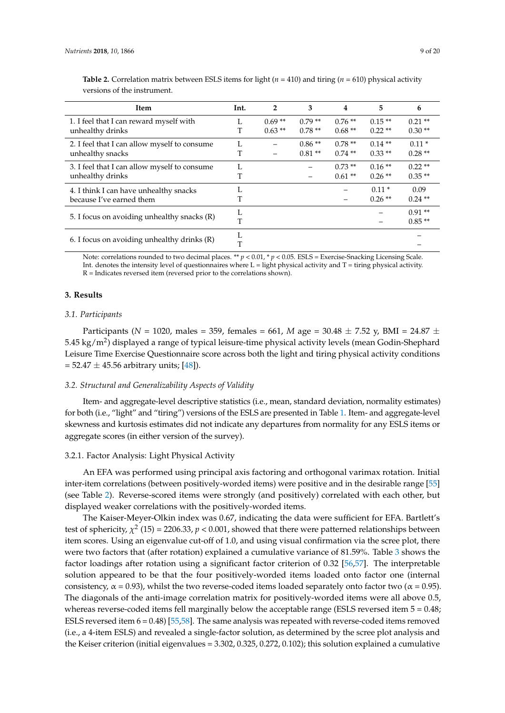| Item                                          | Int. | $\overline{2}$ | 3        | 4        | 5        | 6         |
|-----------------------------------------------|------|----------------|----------|----------|----------|-----------|
| 1. I feel that I can reward myself with       |      | $0.69**$       | $0.79**$ | $0.76**$ | $0.15**$ | $0.21$ ** |
| unhealthy drinks                              | T    | $0.63**$       | $0.78**$ | $0.68**$ | $0.22**$ | $0.30**$  |
| 2. I feel that I can allow myself to consume  | L    |                | $0.86**$ | $0.78**$ | $0.14**$ | $0.11*$   |
| unhealthy snacks                              | T    |                | $0.81**$ | $0.74**$ | $0.33**$ | $0.28**$  |
| 3. I feel that I can allow myself to consume  | Ι.   |                |          | $0.73**$ | $0.16**$ | $0.22**$  |
| unhealthy drinks                              | T    |                |          | $0.61**$ | $0.26**$ | $0.35**$  |
| 4. I think I can have unhealthy snacks        | т.   |                |          |          | $0.11*$  | 0.09      |
| because I've earned them                      |      |                |          |          | $0.26**$ | $0.24$ ** |
| 5. I focus on avoiding unhealthy snacks (R)   | L    |                |          |          |          | $0.91**$  |
|                                               | T    |                |          |          |          | $0.85**$  |
|                                               | L    |                |          |          |          |           |
| 6. I focus on avoiding unhealthy drinks $(R)$ | T    |                |          |          |          |           |

<span id="page-8-0"></span>**Table 2.** Correlation matrix between ESLS items for light ( $n = 410$ ) and tiring ( $n = 610$ ) physical activity versions of the instrument.

Note: correlations rounded to two decimal places. \*\*  $p < 0.01$ , \*  $p < 0.05$ . ESLS = Exercise-Snacking Licensing Scale. Int. denotes the intensity level of questionnaires where  $L =$  light physical activity and  $T =$  tiring physical activity. R = Indicates reversed item (reversed prior to the correlations shown).

### **3. Results**

## *3.1. Participants*

Participants ( $N = 1020$ , males = 359, females = 661, M age = 30.48  $\pm$  7.52 y, BMI = 24.87  $\pm$ 5.45 kg/m<sup>2</sup>) displayed a range of typical leisure-time physical activity levels (mean Godin-Shephard Leisure Time Exercise Questionnaire score across both the light and tiring physical activity conditions  $= 52.47 \pm 45.56$  arbitrary units; [\[48\]](#page-18-2)).

## *3.2. Structural and Generalizability Aspects of Validity*

Item- and aggregate-level descriptive statistics (i.e., mean, standard deviation, normality estimates) for both (i.e., "light" and "tiring") versions of the ESLS are presented in Table [1.](#page-4-0) Item- and aggregate-level skewness and kurtosis estimates did not indicate any departures from normality for any ESLS items or aggregate scores (in either version of the survey).

## 3.2.1. Factor Analysis: Light Physical Activity

An EFA was performed using principal axis factoring and orthogonal varimax rotation. Initial inter-item correlations (between positively-worded items) were positive and in the desirable range [\[55\]](#page-18-9) (see Table [2\)](#page-8-0). Reverse-scored items were strongly (and positively) correlated with each other, but displayed weaker correlations with the positively-worded items.

The Kaiser-Meyer-Olkin index was 0.67, indicating the data were sufficient for EFA. Bartlett's test of sphericity,  $\chi^2$  (15) = 2206.33,  $p < 0.001$ , showed that there were patterned relationships between item scores. Using an eigenvalue cut-off of 1.0, and using visual confirmation via the scree plot, there were two factors that (after rotation) explained a cumulative variance of 81.59%. Table [3](#page-9-0) shows the factor loadings after rotation using a significant factor criterion of 0.32 [\[56,](#page-18-10)[57\]](#page-18-11). The interpretable solution appeared to be that the four positively-worded items loaded onto factor one (internal consistency,  $\alpha$  = 0.93), whilst the two reverse-coded items loaded separately onto factor two ( $\alpha$  = 0.95). The diagonals of the anti-image correlation matrix for positively-worded items were all above 0.5, whereas reverse-coded items fell marginally below the acceptable range (ESLS reversed item  $5 = 0.48$ ; ESLS reversed item  $6 = 0.48$  [\[55](#page-18-9)[,58\]](#page-18-12). The same analysis was repeated with reverse-coded items removed (i.e., a 4-item ESLS) and revealed a single-factor solution, as determined by the scree plot analysis and the Keiser criterion (initial eigenvalues = 3.302, 0.325, 0.272, 0.102); this solution explained a cumulative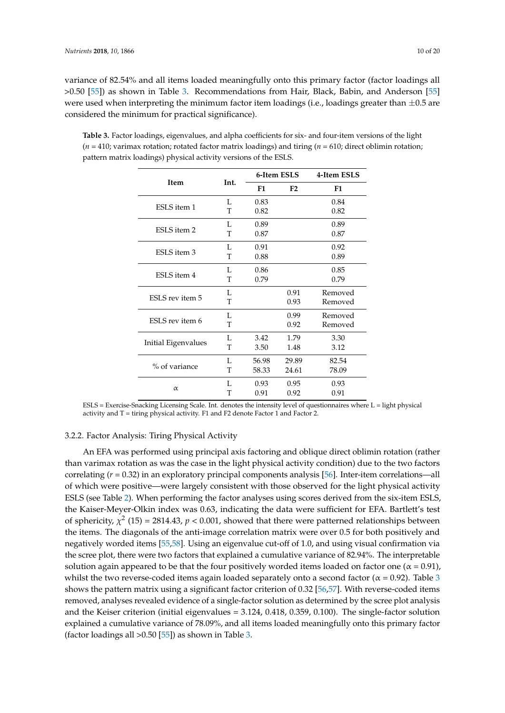variance of 82.54% and all items loaded meaningfully onto this primary factor (factor loadings all >0.50 [\[55\]](#page-18-9)) as shown in Table [3.](#page-9-0) Recommendations from Hair, Black, Babin, and Anderson [\[55\]](#page-18-9) were used when interpreting the minimum factor item loadings (i.e., loadings greater than  $\pm 0.5$  are considered the minimum for practical significance).

**Item Int. 6-Item ESLS 4-Item ESLS F1 F2 F1** ESLS item 1  $L = 0.83$  0.84<br>T 0.82 0.82 0.82 ESLS item 2 L 0.89 0.89 0.87 ESLS item 3  $L = \begin{matrix} 0.91 & 0.92 \\ 0.88 & 0.89 \end{matrix}$ 0.88 ESLS item 4  $L = 0.86$  0.85 0.85 0.85 0.79 ESLS rev item 5  $L$  0.91 Removed<br>T 0.93 Removed Removed ESLS rev item 6  $L$  0.99 Removed<br>T 0.92 Removed Removed Initial Eigenvalues  $\begin{array}{ccc} \text{L} & 3.42 & 1.79 & 3.30 \\ \text{T} & 3.50 & 1.48 & 3.12 \end{array}$  $3.50$ % of variance  $\begin{array}{ccc} L & 56.98 & 29.89 & 82.54 \ T & 58.33 & 24.61 & 78.09 \end{array}$ 58.33 α L 0.93 0.95 0.93<br>T 0.91 0.92 0.91 T 0.91 0.92 0.91

<span id="page-9-0"></span>**Table 3.** Factor loadings, eigenvalues, and alpha coefficients for six- and four-item versions of the light  $(n = 410)$ ; varimax rotation; rotated factor matrix loadings) and tiring  $(n = 610)$ ; direct oblimin rotation; pattern matrix loadings) physical activity versions of the ESLS.

ESLS = Exercise-Snacking Licensing Scale. Int. denotes the intensity level of questionnaires where L = light physical activity and  $T =$  tiring physical activity. F1 and F2 denote Factor 1 and Factor 2.

# 3.2.2. Factor Analysis: Tiring Physical Activity

An EFA was performed using principal axis factoring and oblique direct oblimin rotation (rather than varimax rotation as was the case in the light physical activity condition) due to the two factors correlating (*r* = 0.32) in an exploratory principal components analysis [\[56\]](#page-18-10). Inter-item correlations—all of which were positive—were largely consistent with those observed for the light physical activity ESLS (see Table [2\)](#page-8-0). When performing the factor analyses using scores derived from the six-item ESLS, the Kaiser-Meyer-Olkin index was 0.63, indicating the data were sufficient for EFA. Bartlett's test of sphericity,  $\chi^2$  (15) = 2814.43,  $p < 0.001$ , showed that there were patterned relationships between the items. The diagonals of the anti-image correlation matrix were over 0.5 for both positively and negatively worded items [\[55](#page-18-9)[,58\]](#page-18-12). Using an eigenvalue cut-off of 1.0, and using visual confirmation via the scree plot, there were two factors that explained a cumulative variance of 82.94%. The interpretable solution again appeared to be that the four positively worded items loaded on factor one ( $\alpha$  = 0.91), whilst the two reverse-coded items again loaded separately onto a second factor ( $\alpha$  = 0.92). Table [3](#page-9-0) shows the pattern matrix using a significant factor criterion of 0.32 [\[56](#page-18-10)[,57\]](#page-18-11). With reverse-coded items removed, analyses revealed evidence of a single-factor solution as determined by the scree plot analysis and the Keiser criterion (initial eigenvalues = 3.124, 0.418, 0.359, 0.100). The single-factor solution explained a cumulative variance of 78.09%, and all items loaded meaningfully onto this primary factor (factor loadings all  $>0.50$  [\[55\]](#page-18-9)) as shown in Table [3.](#page-9-0)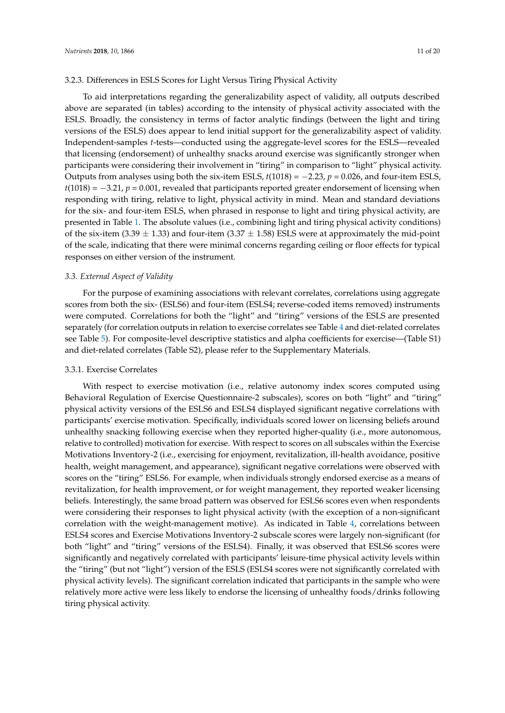## 3.2.3. Differences in ESLS Scores for Light Versus Tiring Physical Activity

To aid interpretations regarding the generalizability aspect of validity, all outputs described above are separated (in tables) according to the intensity of physical activity associated with the ESLS. Broadly, the consistency in terms of factor analytic findings (between the light and tiring versions of the ESLS) does appear to lend initial support for the generalizability aspect of validity. Independent-samples *t*-tests—conducted using the aggregate-level scores for the ESLS—revealed that licensing (endorsement) of unhealthy snacks around exercise was significantly stronger when participants were considering their involvement in "tiring" in comparison to "light" physical activity. Outputs from analyses using both the six-item ESLS,  $t(1018) = -2.23$ ,  $p = 0.026$ , and four-item ESLS, *t*(1018) = −3.21, *p* = 0.001, revealed that participants reported greater endorsement of licensing when responding with tiring, relative to light, physical activity in mind. Mean and standard deviations for the six- and four-item ESLS, when phrased in response to light and tiring physical activity, are presented in Table [1.](#page-4-0) The absolute values (i.e., combining light and tiring physical activity conditions) of the six-item (3.39  $\pm$  1.33) and four-item (3.37  $\pm$  1.58) ESLS were at approximately the mid-point of the scale, indicating that there were minimal concerns regarding ceiling or floor effects for typical responses on either version of the instrument.

## *3.3. External Aspect of Validity*

For the purpose of examining associations with relevant correlates, correlations using aggregate scores from both the six- (ESLS6) and four-item (ESLS4; reverse-coded items removed) instruments were computed. Correlations for both the "light" and "tiring" versions of the ESLS are presented separately (for correlation outputs in relation to exercise correlates see Table [4](#page-11-0) and diet-related correlates see Table [5\)](#page-12-0). For composite-level descriptive statistics and alpha coefficients for exercise—(Table S1) and diet-related correlates (Table S2), please refer to the Supplementary Materials.

#### 3.3.1. Exercise Correlates

With respect to exercise motivation (i.e., relative autonomy index scores computed using Behavioral Regulation of Exercise Questionnaire-2 subscales), scores on both "light" and "tiring" physical activity versions of the ESLS6 and ESLS4 displayed significant negative correlations with participants' exercise motivation. Specifically, individuals scored lower on licensing beliefs around unhealthy snacking following exercise when they reported higher-quality (i.e., more autonomous, relative to controlled) motivation for exercise. With respect to scores on all subscales within the Exercise Motivations Inventory-2 (i.e., exercising for enjoyment, revitalization, ill-health avoidance, positive health, weight management, and appearance), significant negative correlations were observed with scores on the "tiring" ESLS6. For example, when individuals strongly endorsed exercise as a means of revitalization, for health improvement, or for weight management, they reported weaker licensing beliefs. Interestingly, the same broad pattern was observed for ESLS6 scores even when respondents were considering their responses to light physical activity (with the exception of a non-significant correlation with the weight-management motive). As indicated in Table [4,](#page-11-0) correlations between ESLS4 scores and Exercise Motivations Inventory-2 subscale scores were largely non-significant (for both "light" and "tiring" versions of the ESLS4). Finally, it was observed that ESLS6 scores were significantly and negatively correlated with participants' leisure-time physical activity levels within the "tiring" (but not "light") version of the ESLS (ESLS4 scores were not significantly correlated with physical activity levels). The significant correlation indicated that participants in the sample who were relatively more active were less likely to endorse the licensing of unhealthy foods/drinks following tiring physical activity.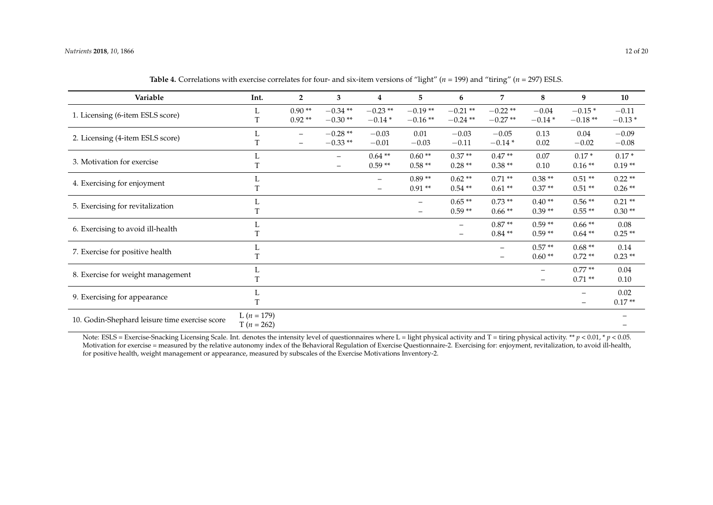| Variable                                       | Int.            | $\overline{2}$           | 3         | 4                        | 5                        | 6                        | $\overline{7}$    | 8                        | 9                 | 10       |
|------------------------------------------------|-----------------|--------------------------|-----------|--------------------------|--------------------------|--------------------------|-------------------|--------------------------|-------------------|----------|
| 1. Licensing (6-item ESLS score)               | L               | $0.90**$                 | $-0.34**$ | $-0.23**$                | $-0.19**$                | $-0.21**$                | $-0.22**$         | $-0.04$                  | $-0.15*$          | $-0.11$  |
|                                                | T               | $0.92**$                 | $-0.30**$ | $-0.14*$                 | $-0.16**$                | $-0.24$ **               | $-0.27**$         | $-0.14*$                 | $-0.18**$         | $-0.13*$ |
| 2. Licensing (4-item ESLS score)               | L               | $\qquad \qquad -$        | $-0.28**$ | $-0.03$                  | 0.01                     | $-0.03$                  | $-0.05$           | 0.13                     | 0.04              | $-0.09$  |
|                                                | T               | $\overline{\phantom{m}}$ | $-0.33**$ | $-0.01$                  | $-0.03$                  | $-0.11$                  | $-0.14*$          | 0.02                     | $-0.02$           | $-0.08$  |
| 3. Motivation for exercise                     | L               |                          | -         | $0.64**$                 | $0.60**$                 | $0.37**$                 | $0.47**$          | 0.07                     | $0.17*$           | $0.17*$  |
|                                                | T               |                          | -         | $0.59**$                 | $0.58**$                 | $0.28**$                 | $0.38**$          | 0.10                     | $0.16**$          | $0.19**$ |
|                                                | L               |                          |           | -                        | $0.89**$                 | $0.62**$                 | $0.71**$          | $0.38**$                 | $0.51**$          | $0.22**$ |
| 4. Exercising for enjoyment                    | T               |                          |           | $\overline{\phantom{0}}$ | $0.91**$                 | $0.54**$                 | $0.61**$          | $0.37**$                 | $0.51**$          | $0.26**$ |
|                                                | L               |                          |           |                          | $\overline{\phantom{0}}$ | $0.65**$                 | $0.73**$          | $0.40**$                 | $0.56**$          | $0.21**$ |
| 5. Exercising for revitalization               | T               |                          |           |                          | $\overline{\phantom{0}}$ | $0.59**$                 | $0.66**$          | $0.39**$                 | $0.55**$          | $0.30**$ |
|                                                | L               |                          |           |                          |                          |                          | $0.87**$          | $0.59**$                 | $0.66**$          | 0.08     |
| 6. Exercising to avoid ill-health              |                 |                          |           |                          |                          | $\overline{\phantom{0}}$ | $0.84**$          | $0.59**$                 | $0.64**$          | $0.25**$ |
| 7. Exercise for positive health                | L               |                          |           |                          |                          |                          | $\qquad \qquad -$ | $0.57**$                 | $0.68**$          | 0.14     |
|                                                | T               |                          |           |                          |                          |                          | $\qquad \qquad -$ | $0.60**$                 | $0.72**$          | $0.23**$ |
|                                                | L               |                          |           |                          |                          |                          |                   | $\overline{\phantom{0}}$ | $0.77**$          | 0.04     |
| 8. Exercise for weight management              | T               |                          |           |                          |                          |                          |                   | $\qquad \qquad -$        | $0.71**$          | 0.10     |
| 9. Exercising for appearance                   | L               |                          |           |                          |                          |                          |                   |                          | $\qquad \qquad -$ | 0.02     |
|                                                |                 |                          |           |                          |                          |                          |                   |                          |                   | $0.17**$ |
| 10. Godin-Shephard leisure time exercise score | L ( $n = 179$ ) |                          |           |                          |                          |                          |                   |                          |                   |          |
|                                                | $T(n = 262)$    |                          |           |                          |                          |                          |                   |                          |                   |          |

**Table 4.** Correlations with exercise correlates for four- and six-item versions of "light" (*n* = 199) and "tiring" (*n* = 297) ESLS.

<span id="page-11-0"></span>Note: ESLS = Exercise-Snacking Licensing Scale. Int. denotes the intensity level of questionnaires where L = light physical activity and T = tiring physical activity. \*\* *p* < 0.01, \* *p* < 0.05. Motivation for exercise = measured by the relative autonomy index of the Behavioral Regulation of Exercise Questionnaire-2. Exercising for: enjoyment, revitalization, to avoid ill-health, for positive health, weight management or appearance, measured by subscales of the Exercise Motivations Inventory-2.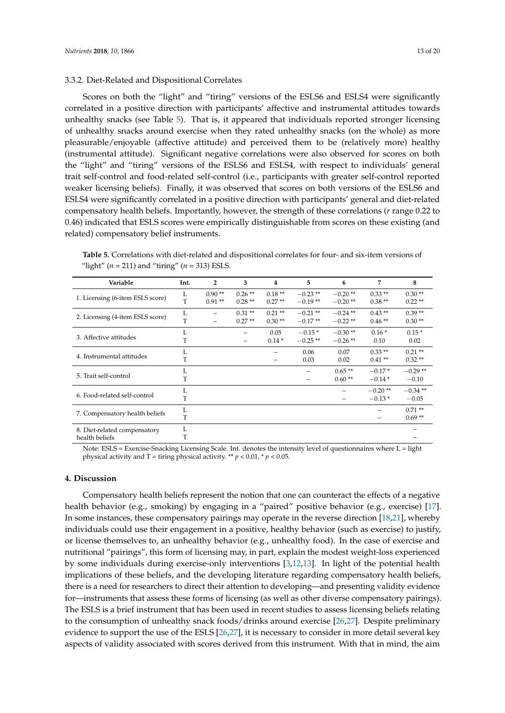## 3.3.2. Diet-Related and Dispositional Correlates

Scores on both the "light" and "tiring" versions of the ESLS6 and ESLS4 were significantly correlated in a positive direction with participants' affective and instrumental attitudes towards unhealthy snacks (see Table [5\)](#page-12-0). That is, it appeared that individuals reported stronger licensing of unhealthy snacks around exercise when they rated unhealthy snacks (on the whole) as more pleasurable/enjoyable (affective attitude) and perceived them to be (relatively more) healthy (instrumental attitude). Significant negative correlations were also observed for scores on both the "light" and "tiring" versions of the ESLS6 and ESLS4, with respect to individuals' general trait self-control and food-related self-control (i.e., participants with greater self-control reported weaker licensing beliefs). Finally, it was observed that scores on both versions of the ESLS6 and ESLS4 were significantly correlated in a positive direction with participants' general and diet-related compensatory health beliefs. Importantly, however, the strength of these correlations (*r* range 0.22 to 0.46) indicated that ESLS scores were empirically distinguishable from scores on these existing (and related) compensatory belief instruments.

<span id="page-12-0"></span>**Table 5.** Correlations with diet-related and dispositional correlates for four- and six-item versions of "light" ( $n = 211$ ) and "tiring" ( $n = 313$ ) ESLS.

| Variable                         | Int. | $\overline{2}$           | 3        | 4        | 5         | 6          | 7         | 8          |
|----------------------------------|------|--------------------------|----------|----------|-----------|------------|-----------|------------|
| 1. Licensing (6-item ESLS score) | L    | $0.90**$                 | $0.26**$ | $0.18**$ | $-0.23**$ | $-0.20**$  | $0.33**$  | $0.30**$   |
|                                  | T    | $0.91**$                 | $0.28**$ | $0.27**$ | $-0.19**$ | $-0.20**$  | $0.38**$  | $0.22**$   |
| 2. Licensing (4-item ESLS score) | L    |                          | $0.31**$ | $0.21**$ | $-0.21**$ | $-0.24$ ** | $0.43**$  | $0.39**$   |
|                                  | T    | $\overline{\phantom{0}}$ | $0.27**$ | $0.30**$ | $-0.17**$ | $-0.22**$  | $0.46**$  | $0.30**$   |
| 3. Affective attitudes           | L    |                          |          | 0.05     | $-0.15*$  | $-0.30**$  | $0.16*$   | $0.15*$    |
|                                  | т    |                          | -        | $0.14*$  | $-0.25**$ | $-0.26**$  | 0.10      | 0.02       |
| 4. Instrumental attitudes        | L    |                          |          | -        | 0.06      | 0.07       | $0.33**$  | $0.21**$   |
|                                  | T    |                          |          | -        | 0.03      | 0.02       | $0.41**$  | $0.32**$   |
| 5. Trait self-control            | L    |                          |          |          |           | $0.65**$   | $-0.17*$  | $-0.29**$  |
|                                  | T    |                          |          |          | -         | $0.60**$   | $-0.14*$  | $-0.10$    |
|                                  | L    |                          |          |          |           |            | $-0.20**$ | $-0.34$ ** |
| 6. Food-related self-control     | T    |                          |          |          |           | -          | $-0.13*$  | $-0.05$    |
| 7. Compensatory health beliefs   | L    |                          |          |          |           |            |           | $0.71**$   |
|                                  | T    |                          |          |          |           |            |           | $0.69**$   |
| 8. Diet-related compensatory     | L    |                          |          |          |           |            |           |            |
| health beliefs                   | T    |                          |          |          |           |            |           |            |

Note: ESLS = Exercise-Snacking Licensing Scale. Int. denotes the intensity level of questionnaires where L = light physical activity and T = tiring physical activity. \*\*  $p < 0.01$ , \*  $p < 0.05$ .

## **4. Discussion**

Compensatory health beliefs represent the notion that one can counteract the effects of a negative health behavior (e.g., smoking) by engaging in a "paired" positive behavior (e.g., exercise) [\[17\]](#page-16-14). In some instances, these compensatory pairings may operate in the reverse direction [\[18,](#page-16-15)[21\]](#page-17-1), whereby individuals could use their engagement in a positive, healthy behavior (such as exercise) to justify, or license themselves to, an unhealthy behavior (e.g., unhealthy food). In the case of exercise and nutritional "pairings", this form of licensing may, in part, explain the modest weight-loss experienced by some individuals during exercise-only interventions [\[3,](#page-16-8)[12](#page-16-9)[,13\]](#page-16-10). In light of the potential health implications of these beliefs, and the developing literature regarding compensatory health beliefs, there is a need for researchers to direct their attention to developing—and presenting validity evidence for—instruments that assess these forms of licensing (as well as other diverse compensatory pairings). The ESLS is a brief instrument that has been used in recent studies to assess licensing beliefs relating to the consumption of unhealthy snack foods/drinks around exercise [\[26,](#page-17-7)[27\]](#page-17-6). Despite preliminary evidence to support the use of the ESLS [\[26,](#page-17-7)[27\]](#page-17-6), it is necessary to consider in more detail several key aspects of validity associated with scores derived from this instrument. With that in mind, the aim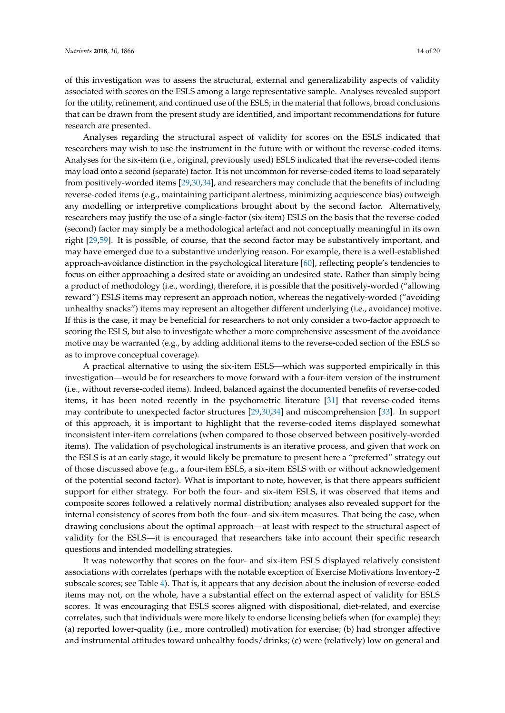of this investigation was to assess the structural, external and generalizability aspects of validity associated with scores on the ESLS among a large representative sample. Analyses revealed support for the utility, refinement, and continued use of the ESLS; in the material that follows, broad conclusions that can be drawn from the present study are identified, and important recommendations for future research are presented.

Analyses regarding the structural aspect of validity for scores on the ESLS indicated that researchers may wish to use the instrument in the future with or without the reverse-coded items. Analyses for the six-item (i.e., original, previously used) ESLS indicated that the reverse-coded items may load onto a second (separate) factor. It is not uncommon for reverse-coded items to load separately from positively-worded items [\[29,](#page-17-9)[30,](#page-17-11)[34\]](#page-17-13), and researchers may conclude that the benefits of including reverse-coded items (e.g., maintaining participant alertness, minimizing acquiescence bias) outweigh any modelling or interpretive complications brought about by the second factor. Alternatively, researchers may justify the use of a single-factor (six-item) ESLS on the basis that the reverse-coded (second) factor may simply be a methodological artefact and not conceptually meaningful in its own right [\[29](#page-17-9)[,59\]](#page-18-13). It is possible, of course, that the second factor may be substantively important, and may have emerged due to a substantive underlying reason. For example, there is a well-established approach-avoidance distinction in the psychological literature [\[60\]](#page-18-14), reflecting people's tendencies to focus on either approaching a desired state or avoiding an undesired state. Rather than simply being a product of methodology (i.e., wording), therefore, it is possible that the positively-worded ("allowing reward") ESLS items may represent an approach notion, whereas the negatively-worded ("avoiding unhealthy snacks") items may represent an altogether different underlying (i.e., avoidance) motive. If this is the case, it may be beneficial for researchers to not only consider a two-factor approach to scoring the ESLS, but also to investigate whether a more comprehensive assessment of the avoidance motive may be warranted (e.g., by adding additional items to the reverse-coded section of the ESLS so as to improve conceptual coverage).

A practical alternative to using the six-item ESLS—which was supported empirically in this investigation—would be for researchers to move forward with a four-item version of the instrument (i.e., without reverse-coded items). Indeed, balanced against the documented benefits of reverse-coded items, it has been noted recently in the psychometric literature [\[31\]](#page-17-10) that reverse-coded items may contribute to unexpected factor structures [\[29,](#page-17-9)[30](#page-17-11)[,34\]](#page-17-13) and miscomprehension [\[33\]](#page-17-12). In support of this approach, it is important to highlight that the reverse-coded items displayed somewhat inconsistent inter-item correlations (when compared to those observed between positively-worded items). The validation of psychological instruments is an iterative process, and given that work on the ESLS is at an early stage, it would likely be premature to present here a "preferred" strategy out of those discussed above (e.g., a four-item ESLS, a six-item ESLS with or without acknowledgement of the potential second factor). What is important to note, however, is that there appears sufficient support for either strategy. For both the four- and six-item ESLS, it was observed that items and composite scores followed a relatively normal distribution; analyses also revealed support for the internal consistency of scores from both the four- and six-item measures. That being the case, when drawing conclusions about the optimal approach—at least with respect to the structural aspect of validity for the ESLS—it is encouraged that researchers take into account their specific research questions and intended modelling strategies.

It was noteworthy that scores on the four- and six-item ESLS displayed relatively consistent associations with correlates (perhaps with the notable exception of Exercise Motivations Inventory-2 subscale scores; see Table [4\)](#page-11-0). That is, it appears that any decision about the inclusion of reverse-coded items may not, on the whole, have a substantial effect on the external aspect of validity for ESLS scores. It was encouraging that ESLS scores aligned with dispositional, diet-related, and exercise correlates, such that individuals were more likely to endorse licensing beliefs when (for example) they: (a) reported lower-quality (i.e., more controlled) motivation for exercise; (b) had stronger affective and instrumental attitudes toward unhealthy foods/drinks; (c) were (relatively) low on general and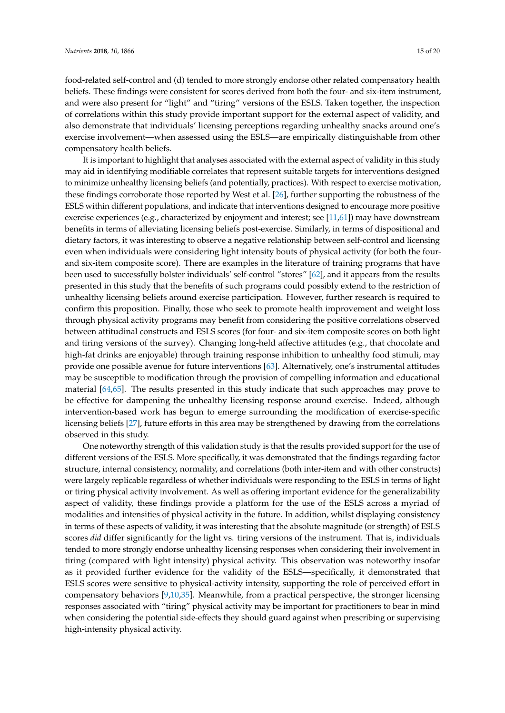food-related self-control and (d) tended to more strongly endorse other related compensatory health beliefs. These findings were consistent for scores derived from both the four- and six-item instrument, and were also present for "light" and "tiring" versions of the ESLS. Taken together, the inspection of correlations within this study provide important support for the external aspect of validity, and also demonstrate that individuals' licensing perceptions regarding unhealthy snacks around one's exercise involvement—when assessed using the ESLS—are empirically distinguishable from other compensatory health beliefs.

It is important to highlight that analyses associated with the external aspect of validity in this study may aid in identifying modifiable correlates that represent suitable targets for interventions designed to minimize unhealthy licensing beliefs (and potentially, practices). With respect to exercise motivation, these findings corroborate those reported by West et al. [\[26\]](#page-17-7), further supporting the robustness of the ESLS within different populations, and indicate that interventions designed to encourage more positive exercise experiences (e.g., characterized by enjoyment and interest; see [\[11](#page-16-7)[,61\]](#page-18-15)) may have downstream benefits in terms of alleviating licensing beliefs post-exercise. Similarly, in terms of dispositional and dietary factors, it was interesting to observe a negative relationship between self-control and licensing even when individuals were considering light intensity bouts of physical activity (for both the fourand six-item composite score). There are examples in the literature of training programs that have been used to successfully bolster individuals' self-control "stores" [\[62\]](#page-18-16), and it appears from the results presented in this study that the benefits of such programs could possibly extend to the restriction of unhealthy licensing beliefs around exercise participation. However, further research is required to confirm this proposition. Finally, those who seek to promote health improvement and weight loss through physical activity programs may benefit from considering the positive correlations observed between attitudinal constructs and ESLS scores (for four- and six-item composite scores on both light and tiring versions of the survey). Changing long-held affective attitudes (e.g., that chocolate and high-fat drinks are enjoyable) through training response inhibition to unhealthy food stimuli, may provide one possible avenue for future interventions [\[63\]](#page-18-17). Alternatively, one's instrumental attitudes may be susceptible to modification through the provision of compelling information and educational material [\[64,](#page-18-18)[65\]](#page-18-19). The results presented in this study indicate that such approaches may prove to be effective for dampening the unhealthy licensing response around exercise. Indeed, although intervention-based work has begun to emerge surrounding the modification of exercise-specific licensing beliefs [\[27\]](#page-17-6), future efforts in this area may be strengthened by drawing from the correlations observed in this study.

One noteworthy strength of this validation study is that the results provided support for the use of different versions of the ESLS. More specifically, it was demonstrated that the findings regarding factor structure, internal consistency, normality, and correlations (both inter-item and with other constructs) were largely replicable regardless of whether individuals were responding to the ESLS in terms of light or tiring physical activity involvement. As well as offering important evidence for the generalizability aspect of validity, these findings provide a platform for the use of the ESLS across a myriad of modalities and intensities of physical activity in the future. In addition, whilst displaying consistency in terms of these aspects of validity, it was interesting that the absolute magnitude (or strength) of ESLS scores *did* differ significantly for the light vs. tiring versions of the instrument. That is, individuals tended to more strongly endorse unhealthy licensing responses when considering their involvement in tiring (compared with light intensity) physical activity. This observation was noteworthy insofar as it provided further evidence for the validity of the ESLS—specifically, it demonstrated that ESLS scores were sensitive to physical-activity intensity, supporting the role of perceived effort in compensatory behaviors [\[9,](#page-16-17)[10,](#page-16-18)[35\]](#page-17-14). Meanwhile, from a practical perspective, the stronger licensing responses associated with "tiring" physical activity may be important for practitioners to bear in mind when considering the potential side-effects they should guard against when prescribing or supervising high-intensity physical activity.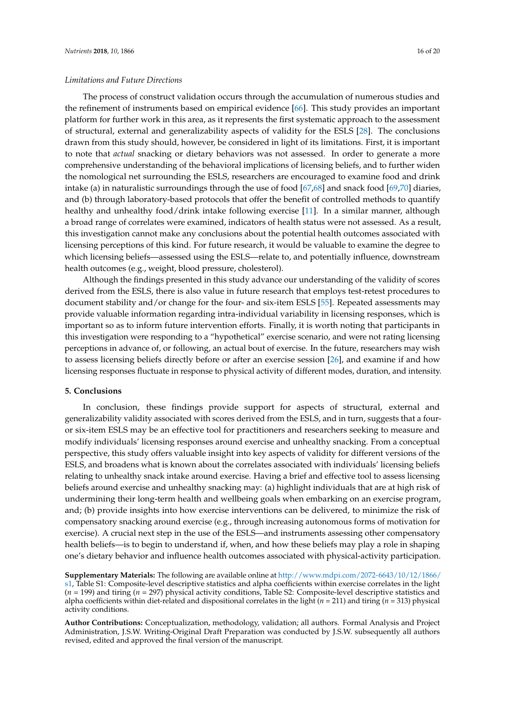## *Limitations and Future Directions*

The process of construct validation occurs through the accumulation of numerous studies and the refinement of instruments based on empirical evidence [\[66\]](#page-18-20). This study provides an important platform for further work in this area, as it represents the first systematic approach to the assessment of structural, external and generalizability aspects of validity for the ESLS [\[28\]](#page-17-8). The conclusions drawn from this study should, however, be considered in light of its limitations. First, it is important to note that *actual* snacking or dietary behaviors was not assessed. In order to generate a more comprehensive understanding of the behavioral implications of licensing beliefs, and to further widen the nomological net surrounding the ESLS, researchers are encouraged to examine food and drink intake (a) in naturalistic surroundings through the use of food [\[67](#page-18-21)[,68\]](#page-18-22) and snack food [\[69,](#page-19-0)[70\]](#page-19-1) diaries, and (b) through laboratory-based protocols that offer the benefit of controlled methods to quantify healthy and unhealthy food/drink intake following exercise [\[11\]](#page-16-7). In a similar manner, although a broad range of correlates were examined, indicators of health status were not assessed. As a result, this investigation cannot make any conclusions about the potential health outcomes associated with licensing perceptions of this kind. For future research, it would be valuable to examine the degree to which licensing beliefs—assessed using the ESLS—relate to, and potentially influence, downstream health outcomes (e.g., weight, blood pressure, cholesterol).

Although the findings presented in this study advance our understanding of the validity of scores derived from the ESLS, there is also value in future research that employs test-retest procedures to document stability and/or change for the four- and six-item ESLS [\[55\]](#page-18-9). Repeated assessments may provide valuable information regarding intra-individual variability in licensing responses, which is important so as to inform future intervention efforts. Finally, it is worth noting that participants in this investigation were responding to a "hypothetical" exercise scenario, and were not rating licensing perceptions in advance of, or following, an actual bout of exercise. In the future, researchers may wish to assess licensing beliefs directly before or after an exercise session [\[26\]](#page-17-7), and examine if and how licensing responses fluctuate in response to physical activity of different modes, duration, and intensity.

#### **5. Conclusions**

In conclusion, these findings provide support for aspects of structural, external and generalizability validity associated with scores derived from the ESLS, and in turn, suggests that a fouror six-item ESLS may be an effective tool for practitioners and researchers seeking to measure and modify individuals' licensing responses around exercise and unhealthy snacking. From a conceptual perspective, this study offers valuable insight into key aspects of validity for different versions of the ESLS, and broadens what is known about the correlates associated with individuals' licensing beliefs relating to unhealthy snack intake around exercise. Having a brief and effective tool to assess licensing beliefs around exercise and unhealthy snacking may: (a) highlight individuals that are at high risk of undermining their long-term health and wellbeing goals when embarking on an exercise program, and; (b) provide insights into how exercise interventions can be delivered, to minimize the risk of compensatory snacking around exercise (e.g., through increasing autonomous forms of motivation for exercise). A crucial next step in the use of the ESLS—and instruments assessing other compensatory health beliefs—is to begin to understand if, when, and how these beliefs may play a role in shaping one's dietary behavior and influence health outcomes associated with physical-activity participation.

**Supplementary Materials:** The following are available online at [http://www.mdpi.com/2072-6643/10/12/1866/](http://www.mdpi.com/2072-6643/10/12/1866/s1) [s1,](http://www.mdpi.com/2072-6643/10/12/1866/s1) Table S1: Composite-level descriptive statistics and alpha coefficients within exercise correlates in the light (*n* = 199) and tiring (*n* = 297) physical activity conditions, Table S2: Composite-level descriptive statistics and alpha coefficients within diet-related and dispositional correlates in the light (*n* = 211) and tiring (*n* = 313) physical activity conditions.

**Author Contributions:** Conceptualization, methodology, validation; all authors. Formal Analysis and Project Administration, J.S.W. Writing-Original Draft Preparation was conducted by J.S.W. subsequently all authors revised, edited and approved the final version of the manuscript.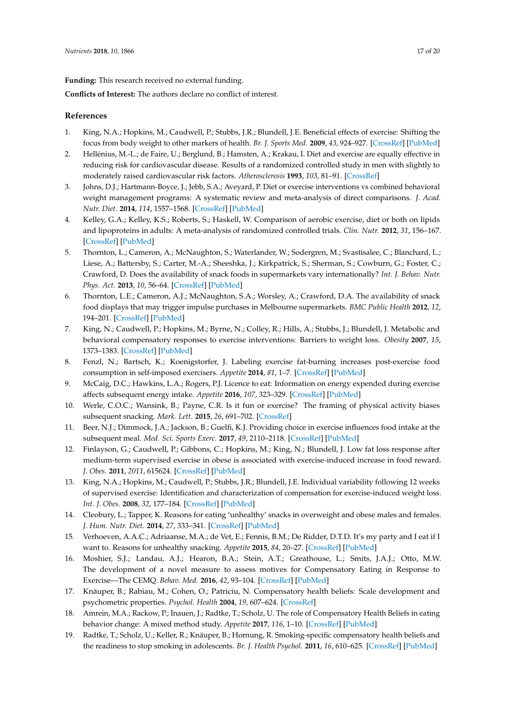**Funding:** This research received no external funding.

**Conflicts of Interest:** The authors declare no conflict of interest.

## **References**

- <span id="page-16-0"></span>1. King, N.A.; Hopkins, M.; Caudwell, P.; Stubbs, J.R.; Blundell, J.E. Beneficial effects of exercise: Shifting the focus from body weight to other markers of health. *Br. J. Sports Med.* **2009**, *43*, 924–927. [\[CrossRef\]](http://dx.doi.org/10.1136/bjsm.2009.065557) [\[PubMed\]](http://www.ncbi.nlm.nih.gov/pubmed/19793728)
- <span id="page-16-1"></span>2. Hellénius, M.-L.; de Faire, U.; Berglund, B.; Hamsten, A.; Krakau, I. Diet and exercise are equally effective in reducing risk for cardiovascular disease. Results of a randomized controlled study in men with slightly to moderately raised cardiovascular risk factors. *Atherosclerosis* **1993**, *103*, 81–91. [\[CrossRef\]](http://dx.doi.org/10.1016/0021-9150(93)90042-S)
- <span id="page-16-8"></span>3. Johns, D.J.; Hartmann-Boyce, J.; Jebb, S.A.; Aveyard, P. Diet or exercise interventions vs combined behavioral weight management programs: A systematic review and meta-analysis of direct comparisons. *J. Acad. Nutr. Diet.* **2014**, *114*, 1557–1568. [\[CrossRef\]](http://dx.doi.org/10.1016/j.jand.2014.07.005) [\[PubMed\]](http://www.ncbi.nlm.nih.gov/pubmed/25257365)
- <span id="page-16-2"></span>4. Kelley, G.A.; Kelley, K.S.; Roberts, S.; Haskell, W. Comparison of aerobic exercise, diet or both on lipids and lipoproteins in adults: A meta-analysis of randomized controlled trials. *Clin. Nutr.* **2012**, *31*, 156–167. [\[CrossRef\]](http://dx.doi.org/10.1016/j.clnu.2011.11.011) [\[PubMed\]](http://www.ncbi.nlm.nih.gov/pubmed/22154987)
- <span id="page-16-3"></span>5. Thornton, L.; Cameron, A.; McNaughton, S.; Waterlander, W.; Sodergren, M.; Svastisalee, C.; Blanchard, L.; Liese, A.; Battersby, S.; Carter, M.-A.; Sheeshka, J.; Kirkpatrick, S.; Sherman, S.; Cowburn, G.; Foster, C.; Crawford, D. Does the availability of snack foods in supermarkets vary internationally? *Int. J. Behav. Nutr. Phys. Act.* **2013**, *10*, 56–64. [\[CrossRef\]](http://dx.doi.org/10.1186/1479-5868-10-56) [\[PubMed\]](http://www.ncbi.nlm.nih.gov/pubmed/23672409)
- <span id="page-16-4"></span>6. Thornton, L.E.; Cameron, A.J.; McNaughton, S.A.; Worsley, A.; Crawford, D.A. The availability of snack food displays that may trigger impulse purchases in Melbourne supermarkets. *BMC Public Health* **2012**, *12*, 194–201. [\[CrossRef\]](http://dx.doi.org/10.1186/1471-2458-12-194) [\[PubMed\]](http://www.ncbi.nlm.nih.gov/pubmed/22420759)
- <span id="page-16-5"></span>7. King, N.; Caudwell, P.; Hopkins, M.; Byrne, N.; Colley, R.; Hills, A.; Stubbs, J.; Blundell, J. Metabolic and behavioral compensatory responses to exercise interventions: Barriers to weight loss. *Obesity* **2007**, *15*, 1373–1383. [\[CrossRef\]](http://dx.doi.org/10.1038/oby.2007.164) [\[PubMed\]](http://www.ncbi.nlm.nih.gov/pubmed/17557973)
- <span id="page-16-6"></span>8. Fenzl, N.; Bartsch, K.; Koenigstorfer, J. Labeling exercise fat-burning increases post-exercise food consumption in self-imposed exercisers. *Appetite* **2014**, *81*, 1–7. [\[CrossRef\]](http://dx.doi.org/10.1016/j.appet.2014.05.030) [\[PubMed\]](http://www.ncbi.nlm.nih.gov/pubmed/24879888)
- <span id="page-16-17"></span>9. McCaig, D.C.; Hawkins, L.A.; Rogers, P.J. Licence to eat: Information on energy expended during exercise affects subsequent energy intake. *Appetite* **2016**, *107*, 323–329. [\[CrossRef\]](http://dx.doi.org/10.1016/j.appet.2016.08.107) [\[PubMed\]](http://www.ncbi.nlm.nih.gov/pubmed/27554186)
- <span id="page-16-18"></span>10. Werle, C.O.C.; Wansink, B.; Payne, C.R. Is it fun or exercise? The framing of physical activity biases subsequent snacking. *Mark. Lett.* **2015**, *26*, 691–702. [\[CrossRef\]](http://dx.doi.org/10.1007/s11002-014-9301-6)
- <span id="page-16-7"></span>11. Beer, N.J.; Dimmock, J.A.; Jackson, B.; Guelfi, K.J. Providing choice in exercise influences food intake at the subsequent meal. *Med. Sci. Sports Exerc.* **2017**, *49*, 2110–2118. [\[CrossRef\]](http://dx.doi.org/10.1249/MSS.0000000000001330) [\[PubMed\]](http://www.ncbi.nlm.nih.gov/pubmed/28542003)
- <span id="page-16-9"></span>12. Finlayson, G.; Caudwell, P.; Gibbons, C.; Hopkins, M.; King, N.; Blundell, J. Low fat loss response after medium-term supervised exercise in obese is associated with exercise-induced increase in food reward. *J. Obes.* **2011**, *2011*, 615624. [\[CrossRef\]](http://dx.doi.org/10.1155/2011/615624) [\[PubMed\]](http://www.ncbi.nlm.nih.gov/pubmed/20886014)
- <span id="page-16-10"></span>13. King, N.A.; Hopkins, M.; Caudwell, P.; Stubbs, J.R.; Blundell, J.E. Individual variability following 12 weeks of supervised exercise: Identification and characterization of compensation for exercise-induced weight loss. *Int. J. Obes.* **2008**, *32*, 177–184. [\[CrossRef\]](http://dx.doi.org/10.1038/sj.ijo.0803712) [\[PubMed\]](http://www.ncbi.nlm.nih.gov/pubmed/17848941)
- <span id="page-16-11"></span>14. Cleobury, L.; Tapper, K. Reasons for eating 'unhealthy' snacks in overweight and obese males and females. *J. Hum. Nutr. Diet.* **2014**, *27*, 333–341. [\[CrossRef\]](http://dx.doi.org/10.1111/jhn.12169) [\[PubMed\]](http://www.ncbi.nlm.nih.gov/pubmed/24134077)
- <span id="page-16-12"></span>15. Verhoeven, A.A.C.; Adriaanse, M.A.; de Vet, E.; Fennis, B.M.; De Ridder, D.T.D. It's my party and I eat if I want to. Reasons for unhealthy snacking. *Appetite* **2015**, *84*, 20–27. [\[CrossRef\]](http://dx.doi.org/10.1016/j.appet.2014.09.013) [\[PubMed\]](http://www.ncbi.nlm.nih.gov/pubmed/25261101)
- <span id="page-16-13"></span>16. Moshier, S.J.; Landau, A.J.; Hearon, B.A.; Stein, A.T.; Greathouse, L.; Smits, J.A.J.; Otto, M.W. The development of a novel measure to assess motives for Compensatory Eating in Response to Exercise—The CEMQ. *Behav. Med.* **2016**, *42*, 93–104. [\[CrossRef\]](http://dx.doi.org/10.1080/08964289.2014.955077) [\[PubMed\]](http://www.ncbi.nlm.nih.gov/pubmed/25148129)
- <span id="page-16-14"></span>17. Knäuper, B.; Rabiau, M.; Cohen, O.; Patriciu, N. Compensatory health beliefs: Scale development and psychometric properties. *Psychol. Health* **2004**, *19*, 607–624. [\[CrossRef\]](http://dx.doi.org/10.1080/0887044042000196737)
- <span id="page-16-15"></span>18. Amrein, M.A.; Rackow, P.; Inauen, J.; Radtke, T.; Scholz, U. The role of Compensatory Health Beliefs in eating behavior change: A mixed method study. *Appetite* **2017**, *116*, 1–10. [\[CrossRef\]](http://dx.doi.org/10.1016/j.appet.2017.04.016) [\[PubMed\]](http://www.ncbi.nlm.nih.gov/pubmed/28433774)
- <span id="page-16-16"></span>19. Radtke, T.; Scholz, U.; Keller, R.; Knäuper, B.; Hornung, R. Smoking-specific compensatory health beliefs and the readiness to stop smoking in adolescents. *Br. J. Health Psychol.* **2011**, *16*, 610–625. [\[CrossRef\]](http://dx.doi.org/10.1348/2044-8287.002001) [\[PubMed\]](http://www.ncbi.nlm.nih.gov/pubmed/21199538)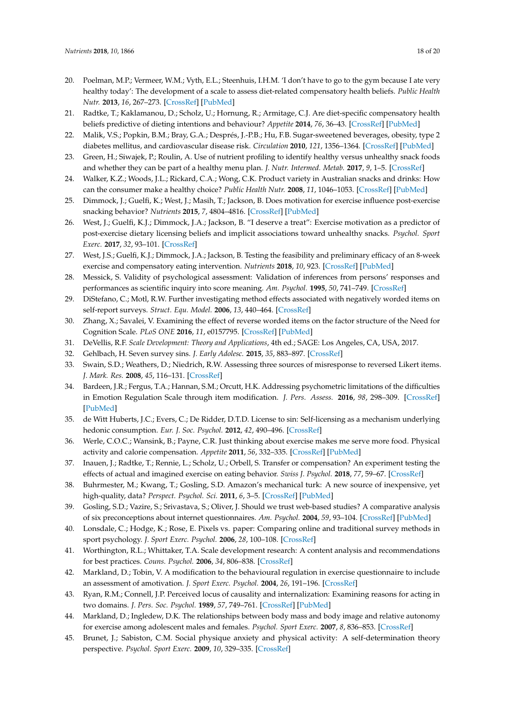- <span id="page-17-0"></span>20. Poelman, M.P.; Vermeer, W.M.; Vyth, E.L.; Steenhuis, I.H.M. 'I don't have to go to the gym because I ate very healthy today': The development of a scale to assess diet-related compensatory health beliefs. *Public Health Nutr.* **2013**, *16*, 267–273. [\[CrossRef\]](http://dx.doi.org/10.1017/S1368980012002650) [\[PubMed\]](http://www.ncbi.nlm.nih.gov/pubmed/22613780)
- <span id="page-17-1"></span>21. Radtke, T.; Kaklamanou, D.; Scholz, U.; Hornung, R.; Armitage, C.J. Are diet-specific compensatory health beliefs predictive of dieting intentions and behaviour? *Appetite* **2014**, *76*, 36–43. [\[CrossRef\]](http://dx.doi.org/10.1016/j.appet.2014.01.014) [\[PubMed\]](http://www.ncbi.nlm.nih.gov/pubmed/24472827)
- <span id="page-17-2"></span>22. Malik, V.S.; Popkin, B.M.; Bray, G.A.; Després, J.-P.B.; Hu, F.B. Sugar-sweetened beverages, obesity, type 2 diabetes mellitus, and cardiovascular disease risk. *Circulation* **2010**, *121*, 1356–1364. [\[CrossRef\]](http://dx.doi.org/10.1161/CIRCULATIONAHA.109.876185) [\[PubMed\]](http://www.ncbi.nlm.nih.gov/pubmed/20308626)
- <span id="page-17-3"></span>23. Green, H.; Siwajek, P.; Roulin, A. Use of nutrient profiling to identify healthy versus unhealthy snack foods and whether they can be part of a healthy menu plan. *J. Nutr. Intermed. Metab.* **2017**, *9*, 1–5. [\[CrossRef\]](http://dx.doi.org/10.1016/j.jnim.2017.07.001)
- <span id="page-17-4"></span>24. Walker, K.Z.; Woods, J.L.; Rickard, C.A.; Wong, C.K. Product variety in Australian snacks and drinks: How can the consumer make a healthy choice? *Public Health Nutr.* **2008**, *11*, 1046–1053. [\[CrossRef\]](http://dx.doi.org/10.1017/S1368980007001462) [\[PubMed\]](http://www.ncbi.nlm.nih.gov/pubmed/18096104)
- <span id="page-17-5"></span>25. Dimmock, J.; Guelfi, K.; West, J.; Masih, T.; Jackson, B. Does motivation for exercise influence post-exercise snacking behavior? *Nutrients* **2015**, *7*, 4804–4816. [\[CrossRef\]](http://dx.doi.org/10.3390/nu7064804) [\[PubMed\]](http://www.ncbi.nlm.nih.gov/pubmed/26083114)
- <span id="page-17-7"></span>26. West, J.; Guelfi, K.J.; Dimmock, J.A.; Jackson, B. "I deserve a treat": Exercise motivation as a predictor of post-exercise dietary licensing beliefs and implicit associations toward unhealthy snacks. *Psychol. Sport Exerc.* **2017**, *32*, 93–101. [\[CrossRef\]](http://dx.doi.org/10.1016/j.psychsport.2017.06.007)
- <span id="page-17-6"></span>27. West, J.S.; Guelfi, K.J.; Dimmock, J.A.; Jackson, B. Testing the feasibility and preliminary efficacy of an 8-week exercise and compensatory eating intervention. *Nutrients* **2018**, *10*, 923. [\[CrossRef\]](http://dx.doi.org/10.3390/nu10070923) [\[PubMed\]](http://www.ncbi.nlm.nih.gov/pubmed/30029486)
- <span id="page-17-8"></span>28. Messick, S. Validity of psychological assessment: Validation of inferences from persons' responses and performances as scientific inquiry into score meaning. *Am. Psychol.* **1995**, *50*, 741–749. [\[CrossRef\]](http://dx.doi.org/10.1037/0003-066X.50.9.741)
- <span id="page-17-9"></span>29. DiStefano, C.; Motl, R.W. Further investigating method effects associated with negatively worded items on self-report surveys. *Struct. Equ. Model.* **2006**, *13*, 440–464. [\[CrossRef\]](http://dx.doi.org/10.1207/s15328007sem1303_6)
- <span id="page-17-11"></span>30. Zhang, X.; Savalei, V. Examining the effect of reverse worded items on the factor structure of the Need for Cognition Scale. *PLoS ONE* **2016**, *11*, e0157795. [\[CrossRef\]](http://dx.doi.org/10.1371/journal.pone.0157795) [\[PubMed\]](http://www.ncbi.nlm.nih.gov/pubmed/27305001)
- <span id="page-17-10"></span>31. DeVellis, R.F. *Scale Development: Theory and Applications*, 4th ed.; SAGE: Los Angeles, CA, USA, 2017.
- 32. Gehlbach, H. Seven survey sins. *J. Early Adolesc.* **2015**, *35*, 883–897. [\[CrossRef\]](http://dx.doi.org/10.1177/0272431615578276)
- <span id="page-17-12"></span>33. Swain, S.D.; Weathers, D.; Niedrich, R.W. Assessing three sources of misresponse to reversed Likert items. *J. Mark. Res.* **2008**, *45*, 116–131. [\[CrossRef\]](http://dx.doi.org/10.1509/jmkr.45.1.116)
- <span id="page-17-13"></span>34. Bardeen, J.R.; Fergus, T.A.; Hannan, S.M.; Orcutt, H.K. Addressing psychometric limitations of the difficulties in Emotion Regulation Scale through item modification. *J. Pers. Assess.* **2016**, *98*, 298–309. [\[CrossRef\]](http://dx.doi.org/10.1080/00223891.2015.1091774) [\[PubMed\]](http://www.ncbi.nlm.nih.gov/pubmed/26538407)
- <span id="page-17-14"></span>35. de Witt Huberts, J.C.; Evers, C.; De Ridder, D.T.D. License to sin: Self-licensing as a mechanism underlying hedonic consumption. *Eur. J. Soc. Psychol.* **2012**, *42*, 490–496. [\[CrossRef\]](http://dx.doi.org/10.1002/ejsp.861)
- <span id="page-17-15"></span>36. Werle, C.O.C.; Wansink, B.; Payne, C.R. Just thinking about exercise makes me serve more food. Physical activity and calorie compensation. *Appetite* **2011**, *56*, 332–335. [\[CrossRef\]](http://dx.doi.org/10.1016/j.appet.2010.12.016) [\[PubMed\]](http://www.ncbi.nlm.nih.gov/pubmed/21185895)
- <span id="page-17-16"></span>37. Inauen, J.; Radtke, T.; Rennie, L.; Scholz, U.; Orbell, S. Transfer or compensation? An experiment testing the effects of actual and imagined exercise on eating behavior. *Swiss J. Psychol.* **2018**, *77*, 59–67. [\[CrossRef\]](http://dx.doi.org/10.1024/1421-0185/a000207)
- <span id="page-17-17"></span>38. Buhrmester, M.; Kwang, T.; Gosling, S.D. Amazon's mechanical turk: A new source of inexpensive, yet high-quality, data? *Perspect. Psychol. Sci.* **2011**, *6*, 3–5. [\[CrossRef\]](http://dx.doi.org/10.1177/1745691610393980) [\[PubMed\]](http://www.ncbi.nlm.nih.gov/pubmed/26162106)
- <span id="page-17-19"></span>39. Gosling, S.D.; Vazire, S.; Srivastava, S.; Oliver, J. Should we trust web-based studies? A comparative analysis of six preconceptions about internet questionnaires. *Am. Psychol.* **2004**, *59*, 93–104. [\[CrossRef\]](http://dx.doi.org/10.1037/0003-066X.59.2.93) [\[PubMed\]](http://www.ncbi.nlm.nih.gov/pubmed/14992636)
- <span id="page-17-18"></span>40. Lonsdale, C.; Hodge, K.; Rose, E. Pixels vs. paper: Comparing online and traditional survey methods in sport psychology. *J. Sport Exerc. Psychol.* **2006**, *28*, 100–108. [\[CrossRef\]](http://dx.doi.org/10.1123/jsep.28.1.100)
- <span id="page-17-20"></span>41. Worthington, R.L.; Whittaker, T.A. Scale development research: A content analysis and recommendations for best practices. *Couns. Psychol.* **2006**, *34*, 806–838. [\[CrossRef\]](http://dx.doi.org/10.1177/0011000006288127)
- <span id="page-17-21"></span>42. Markland, D.; Tobin, V. A modification to the behavioural regulation in exercise questionnaire to include an assessment of amotivation. *J. Sport Exerc. Psychol.* **2004**, *26*, 191–196. [\[CrossRef\]](http://dx.doi.org/10.1123/jsep.26.2.191)
- <span id="page-17-22"></span>43. Ryan, R.M.; Connell, J.P. Perceived locus of causality and internalization: Examining reasons for acting in two domains. *J. Pers. Soc. Psychol.* **1989**, *57*, 749–761. [\[CrossRef\]](http://dx.doi.org/10.1037/0022-3514.57.5.749) [\[PubMed\]](http://www.ncbi.nlm.nih.gov/pubmed/2810024)
- <span id="page-17-23"></span>44. Markland, D.; Ingledew, D.K. The relationships between body mass and body image and relative autonomy for exercise among adolescent males and females. *Psychol. Sport Exerc.* **2007**, *8*, 836–853. [\[CrossRef\]](http://dx.doi.org/10.1016/j.psychsport.2006.11.002)
- <span id="page-17-24"></span>45. Brunet, J.; Sabiston, C.M. Social physique anxiety and physical activity: A self-determination theory perspective. *Psychol. Sport Exerc.* **2009**, *10*, 329–335. [\[CrossRef\]](http://dx.doi.org/10.1016/j.psychsport.2008.11.002)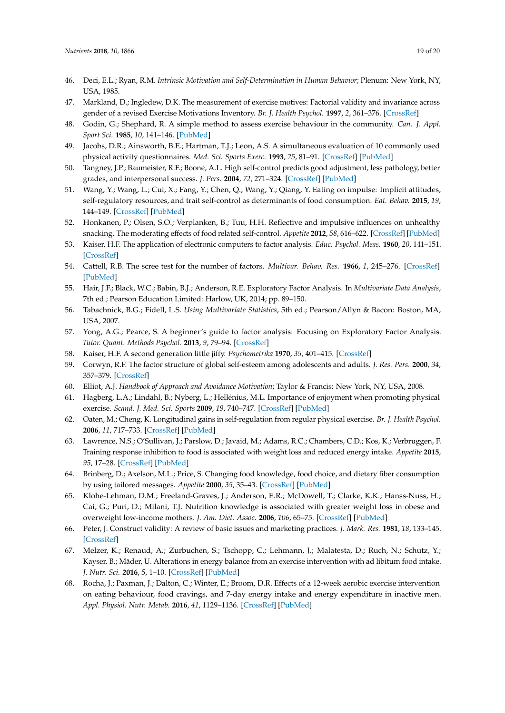- <span id="page-18-0"></span>46. Deci, E.L.; Ryan, R.M. *Intrinsic Motivation and Self-Determination in Human Behavior*; Plenum: New York, NY, USA, 1985.
- <span id="page-18-1"></span>47. Markland, D.; Ingledew, D.K. The measurement of exercise motives: Factorial validity and invariance across gender of a revised Exercise Motivations Inventory. *Br. J. Health Psychol.* **1997**, *2*, 361–376. [\[CrossRef\]](http://dx.doi.org/10.1111/j.2044-8287.1997.tb00549.x)
- <span id="page-18-2"></span>48. Godin, G.; Shephard, R. A simple method to assess exercise behaviour in the community. *Can. J. Appl. Sport Sci.* **1985**, *10*, 141–146. [\[PubMed\]](http://www.ncbi.nlm.nih.gov/pubmed/4053261)
- <span id="page-18-3"></span>49. Jacobs, D.R.; Ainsworth, B.E.; Hartman, T.J.; Leon, A.S. A simultaneous evaluation of 10 commonly used physical activity questionnaires. *Med. Sci. Sports Exerc.* **1993**, *25*, 81–91. [\[CrossRef\]](http://dx.doi.org/10.1249/00005768-199301000-00012) [\[PubMed\]](http://www.ncbi.nlm.nih.gov/pubmed/8423759)
- <span id="page-18-4"></span>50. Tangney, J.P.; Baumeister, R.F.; Boone, A.L. High self-control predicts good adjustment, less pathology, better grades, and interpersonal success. *J. Pers.* **2004**, *72*, 271–324. [\[CrossRef\]](http://dx.doi.org/10.1111/j.0022-3506.2004.00263.x) [\[PubMed\]](http://www.ncbi.nlm.nih.gov/pubmed/15016066)
- <span id="page-18-5"></span>51. Wang, Y.; Wang, L.; Cui, X.; Fang, Y.; Chen, Q.; Wang, Y.; Qiang, Y. Eating on impulse: Implicit attitudes, self-regulatory resources, and trait self-control as determinants of food consumption. *Eat. Behav.* **2015**, *19*, 144–149. [\[CrossRef\]](http://dx.doi.org/10.1016/j.eatbeh.2015.09.011) [\[PubMed\]](http://www.ncbi.nlm.nih.gov/pubmed/26402043)
- <span id="page-18-6"></span>52. Honkanen, P.; Olsen, S.O.; Verplanken, B.; Tuu, H.H. Reflective and impulsive influences on unhealthy snacking. The moderating effects of food related self-control. *Appetite* **2012**, *58*, 616–622. [\[CrossRef\]](http://dx.doi.org/10.1016/j.appet.2011.11.019) [\[PubMed\]](http://www.ncbi.nlm.nih.gov/pubmed/22138115)
- <span id="page-18-7"></span>53. Kaiser, H.F. The application of electronic computers to factor analysis. *Educ. Psychol. Meas.* **1960**, *20*, 141–151. [\[CrossRef\]](http://dx.doi.org/10.1177/001316446002000116)
- <span id="page-18-8"></span>54. Cattell, R.B. The scree test for the number of factors. *Multivar. Behav. Res.* **1966**, *1*, 245–276. [\[CrossRef\]](http://dx.doi.org/10.1207/s15327906mbr0102_10) [\[PubMed\]](http://www.ncbi.nlm.nih.gov/pubmed/26828106)
- <span id="page-18-9"></span>55. Hair, J.F.; Black, W.C.; Babin, B.J.; Anderson, R.E. Exploratory Factor Analysis. In *Multivariate Data Analysis*, 7th ed.; Pearson Education Limited: Harlow, UK, 2014; pp. 89–150.
- <span id="page-18-10"></span>56. Tabachnick, B.G.; Fidell, L.S. *Using Multivariate Statistics*, 5th ed.; Pearson/Allyn & Bacon: Boston, MA, USA, 2007.
- <span id="page-18-11"></span>57. Yong, A.G.; Pearce, S. A beginner's guide to factor analysis: Focusing on Exploratory Factor Analysis. *Tutor. Quant. Methods Psychol.* **2013**, *9*, 79–94. [\[CrossRef\]](http://dx.doi.org/10.20982/tqmp.09.2.p079)
- <span id="page-18-12"></span>58. Kaiser, H.F. A second generation little jiffy. *Psychometrika* **1970**, *35*, 401–415. [\[CrossRef\]](http://dx.doi.org/10.1007/BF02291817)
- <span id="page-18-13"></span>59. Corwyn, R.F. The factor structure of global self-esteem among adolescents and adults. *J. Res. Pers.* **2000**, *34*, 357–379. [\[CrossRef\]](http://dx.doi.org/10.1006/jrpe.2000.2291)
- <span id="page-18-15"></span><span id="page-18-14"></span>60. Elliot, A.J. *Handbook of Approach and Avoidance Motivation*; Taylor & Francis: New York, NY, USA, 2008.
- 61. Hagberg, L.A.; Lindahl, B.; Nyberg, L.; Hellénius, M.L. Importance of enjoyment when promoting physical exercise. *Scand. J. Med. Sci. Sports* **2009**, *19*, 740–747. [\[CrossRef\]](http://dx.doi.org/10.1111/j.1600-0838.2008.00844.x) [\[PubMed\]](http://www.ncbi.nlm.nih.gov/pubmed/18694433)
- <span id="page-18-16"></span>62. Oaten, M.; Cheng, K. Longitudinal gains in self-regulation from regular physical exercise. *Br. J. Health Psychol.* **2006**, *11*, 717–733. [\[CrossRef\]](http://dx.doi.org/10.1348/135910706X96481) [\[PubMed\]](http://www.ncbi.nlm.nih.gov/pubmed/17032494)
- <span id="page-18-17"></span>63. Lawrence, N.S.; O'Sullivan, J.; Parslow, D.; Javaid, M.; Adams, R.C.; Chambers, C.D.; Kos, K.; Verbruggen, F. Training response inhibition to food is associated with weight loss and reduced energy intake. *Appetite* **2015**, *95*, 17–28. [\[CrossRef\]](http://dx.doi.org/10.1016/j.appet.2015.06.009) [\[PubMed\]](http://www.ncbi.nlm.nih.gov/pubmed/26122756)
- <span id="page-18-18"></span>64. Brinberg, D.; Axelson, M.L.; Price, S. Changing food knowledge, food choice, and dietary fiber consumption by using tailored messages. *Appetite* **2000**, *35*, 35–43. [\[CrossRef\]](http://dx.doi.org/10.1006/appe.2000.0335) [\[PubMed\]](http://www.ncbi.nlm.nih.gov/pubmed/10896759)
- <span id="page-18-19"></span>65. Klohe-Lehman, D.M.; Freeland-Graves, J.; Anderson, E.R.; McDowell, T.; Clarke, K.K.; Hanss-Nuss, H.; Cai, G.; Puri, D.; Milani, T.J. Nutrition knowledge is associated with greater weight loss in obese and overweight low-income mothers. *J. Am. Diet. Assoc.* **2006**, *106*, 65–75. [\[CrossRef\]](http://dx.doi.org/10.1016/j.jada.2005.09.047) [\[PubMed\]](http://www.ncbi.nlm.nih.gov/pubmed/16390668)
- <span id="page-18-20"></span>66. Peter, J. Construct validity: A review of basic issues and marketing practices. *J. Mark. Res.* **1981**, *18*, 133–145. [\[CrossRef\]](http://dx.doi.org/10.1177/002224378101800201)
- <span id="page-18-21"></span>67. Melzer, K.; Renaud, A.; Zurbuchen, S.; Tschopp, C.; Lehmann, J.; Malatesta, D.; Ruch, N.; Schutz, Y.; Kayser, B.; Mäder, U. Alterations in energy balance from an exercise intervention with ad libitum food intake. *J. Nutr. Sci.* **2016**, *5*, 1–10. [\[CrossRef\]](http://dx.doi.org/10.1017/jns.2015.36) [\[PubMed\]](http://www.ncbi.nlm.nih.gov/pubmed/27066256)
- <span id="page-18-22"></span>68. Rocha, J.; Paxman, J.; Dalton, C.; Winter, E.; Broom, D.R. Effects of a 12-week aerobic exercise intervention on eating behaviour, food cravings, and 7-day energy intake and energy expenditure in inactive men. *Appl. Physiol. Nutr. Metab.* **2016**, *41*, 1129–1136. [\[CrossRef\]](http://dx.doi.org/10.1139/apnm-2016-0189) [\[PubMed\]](http://www.ncbi.nlm.nih.gov/pubmed/27769147)